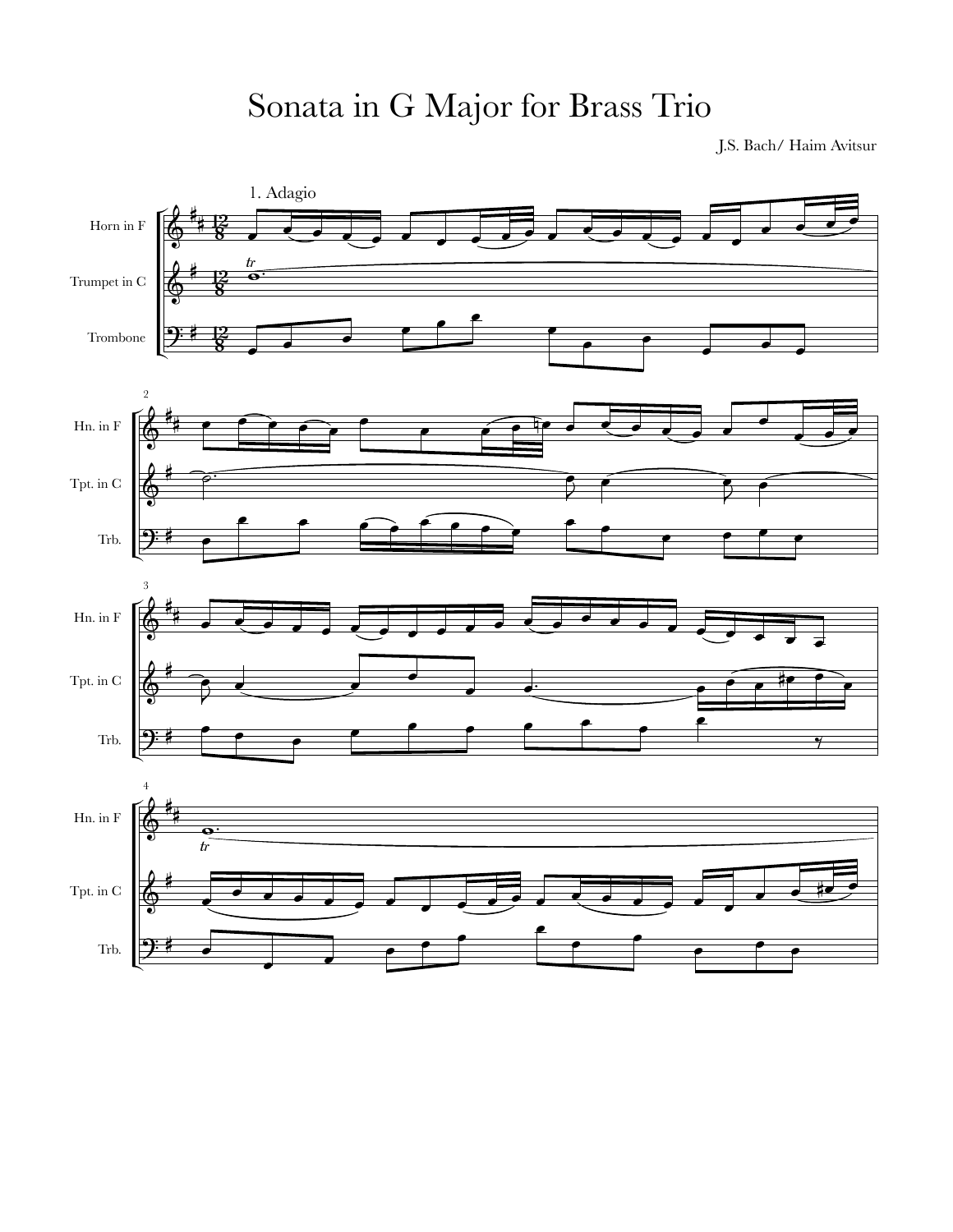### Sonata in G Major for Brass Trio

J.S. Bach/ Haim Avitsur

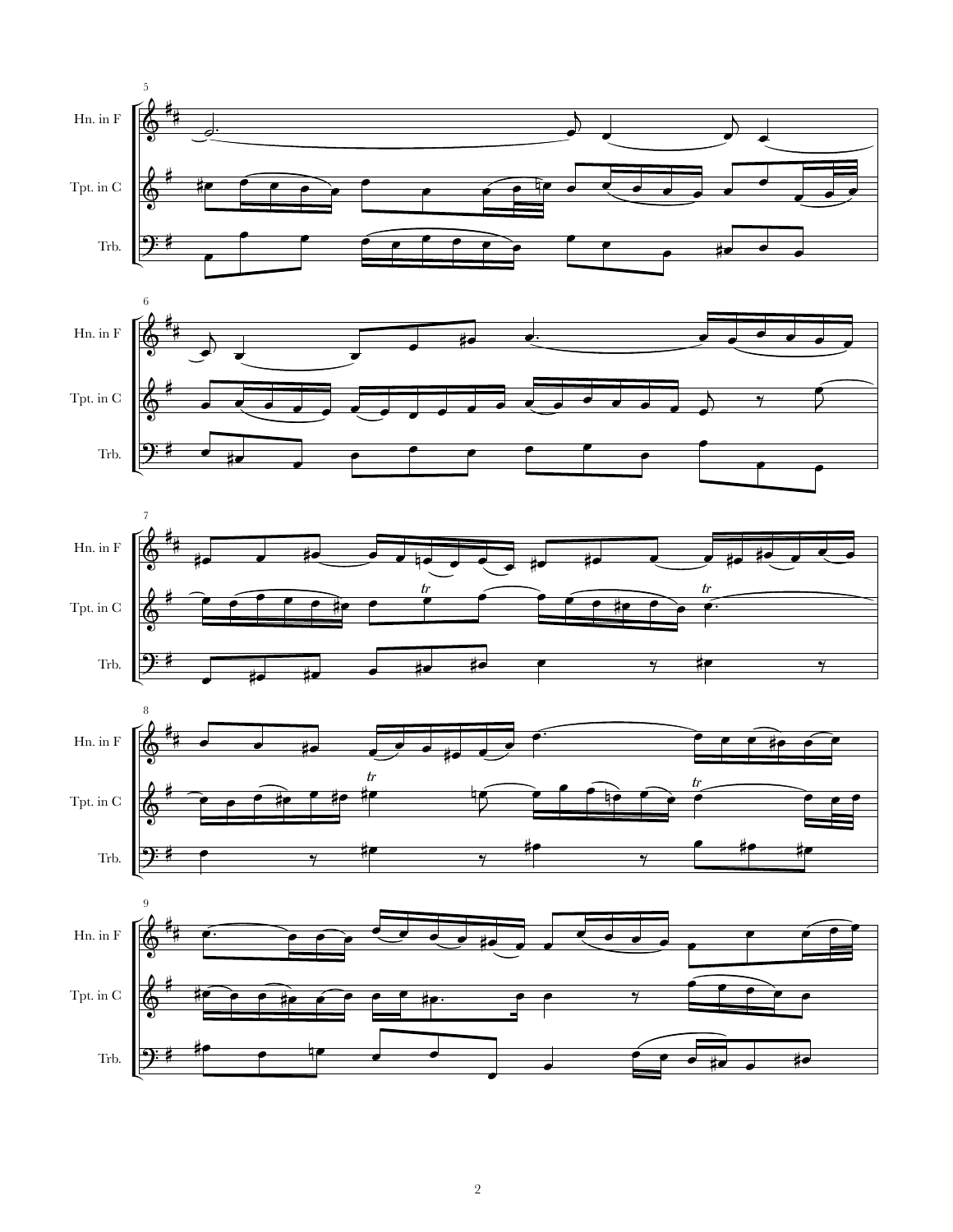







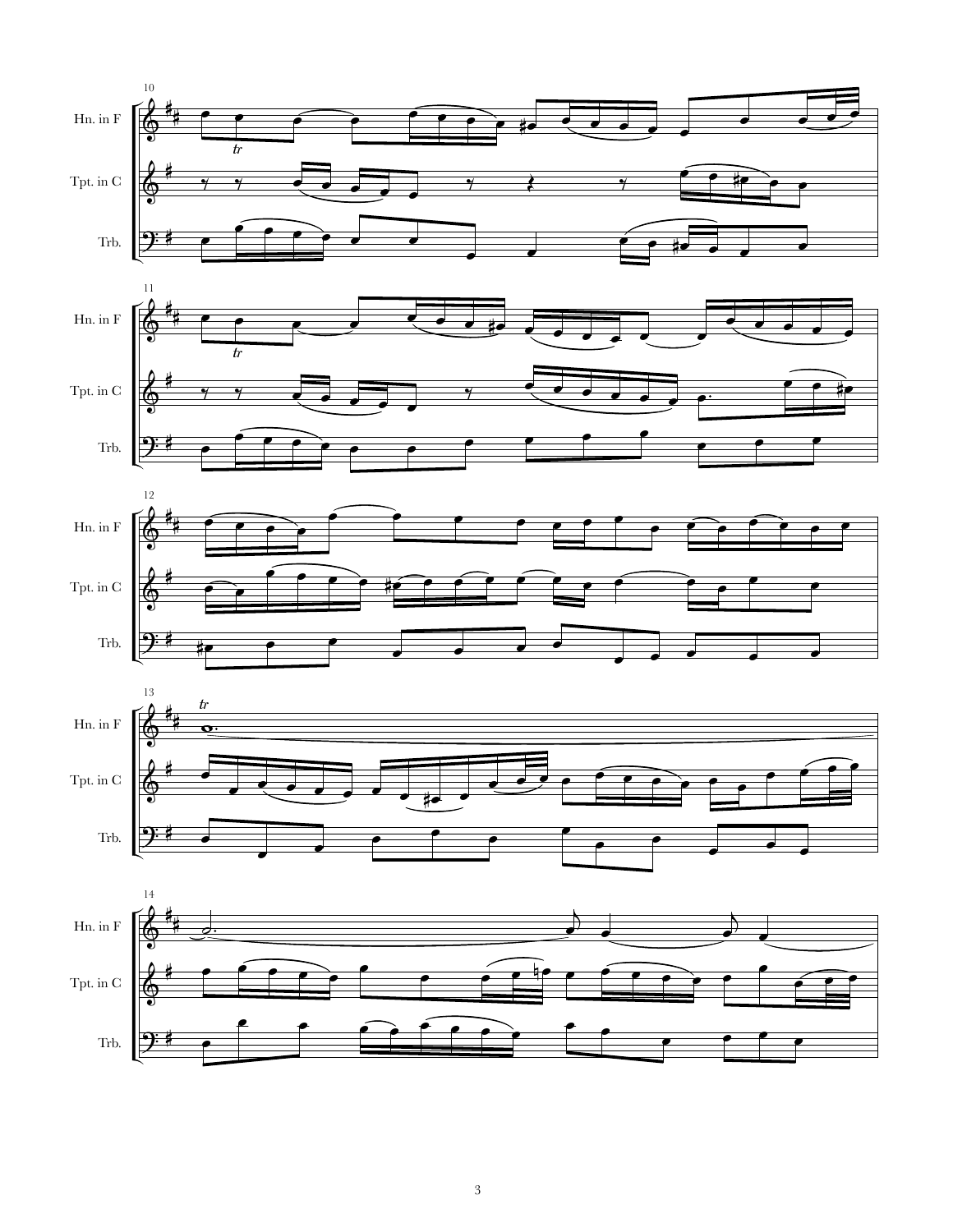







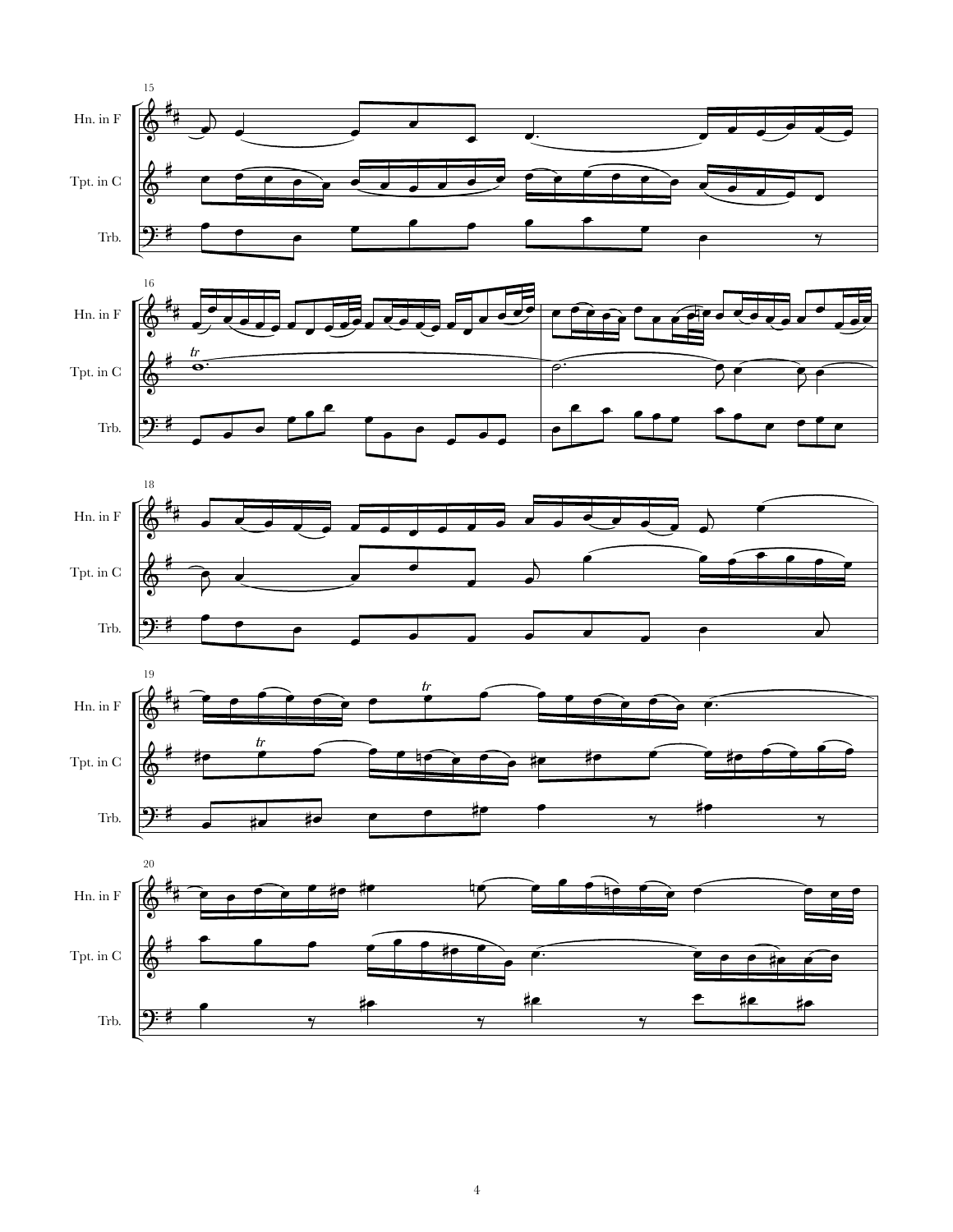







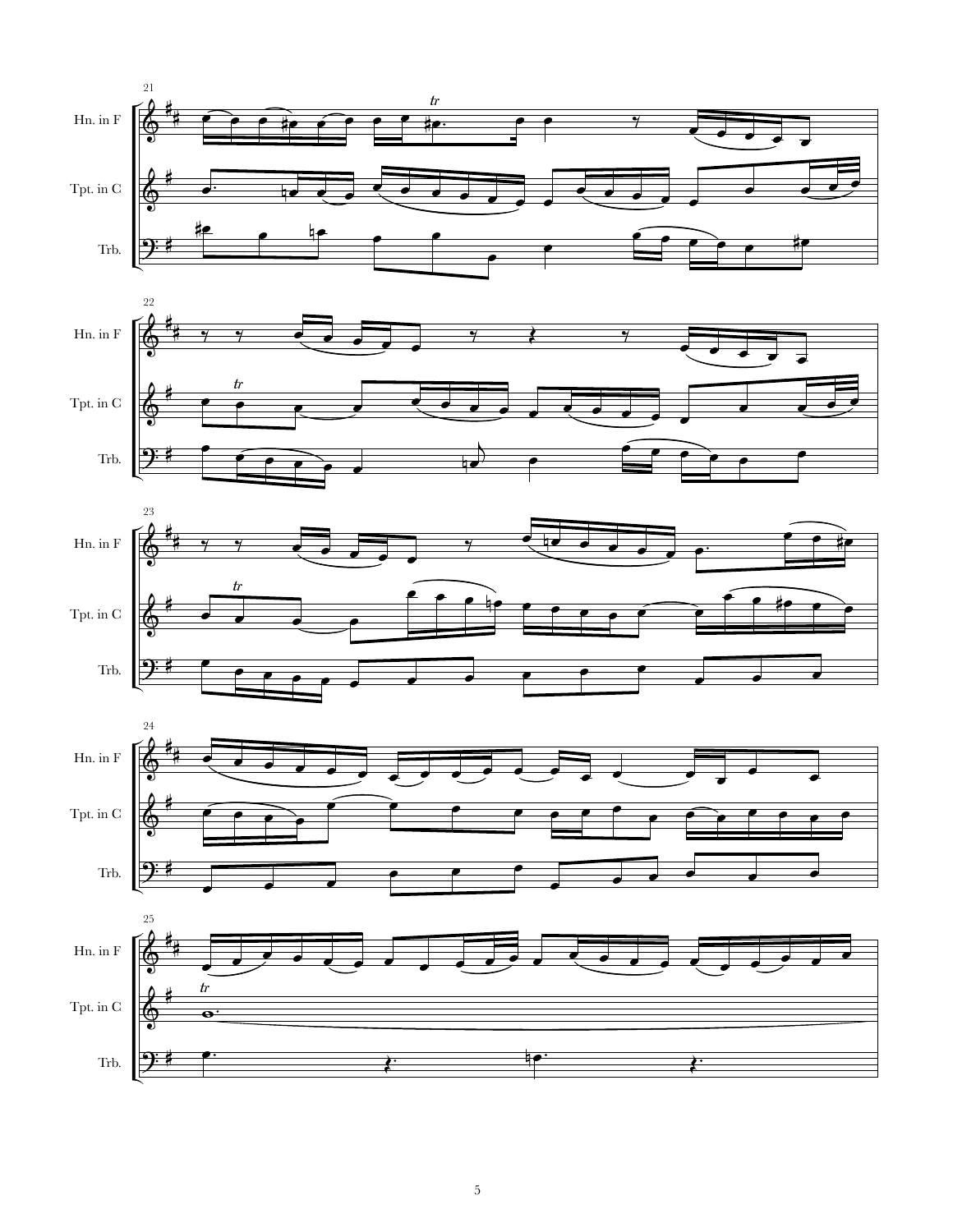







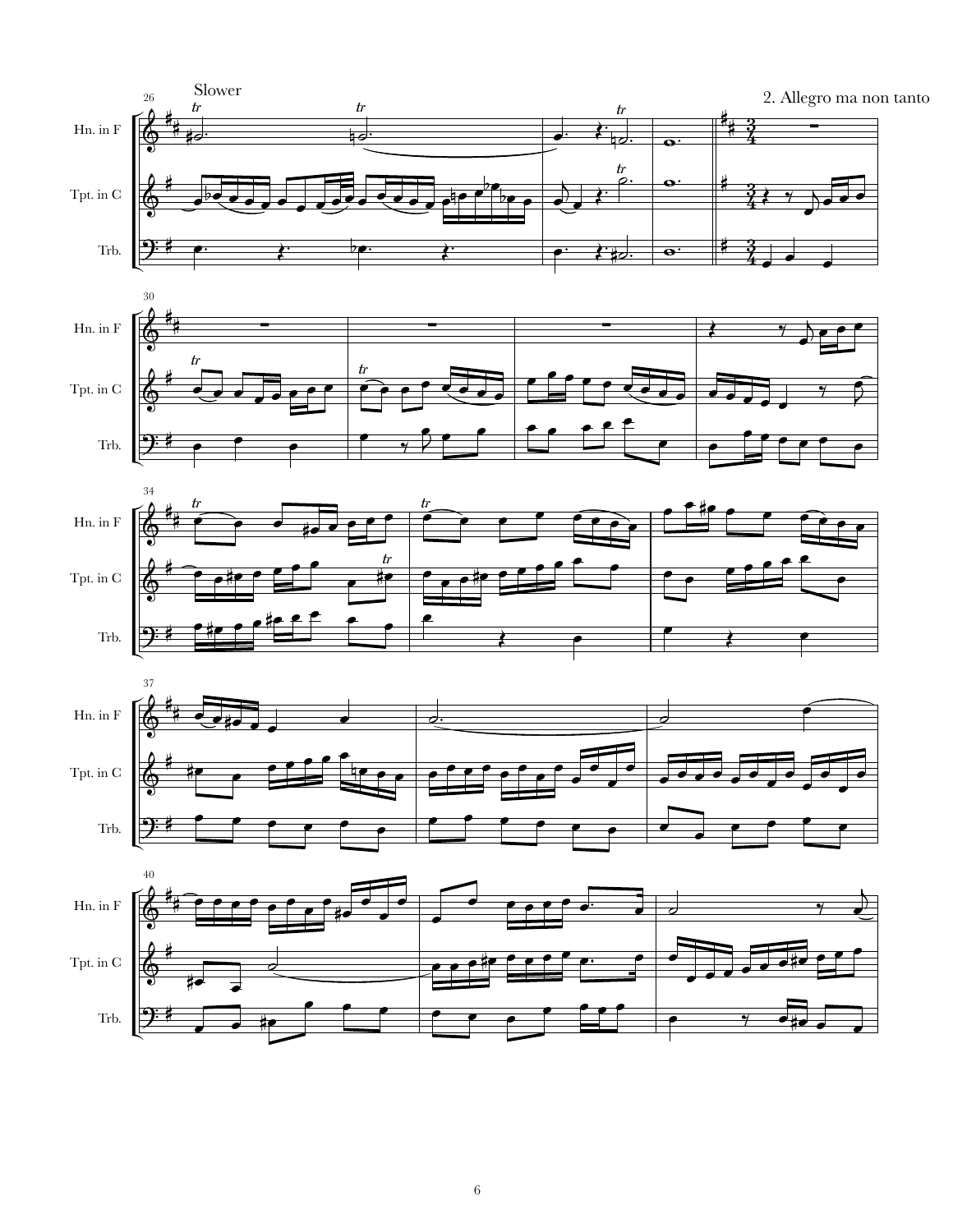







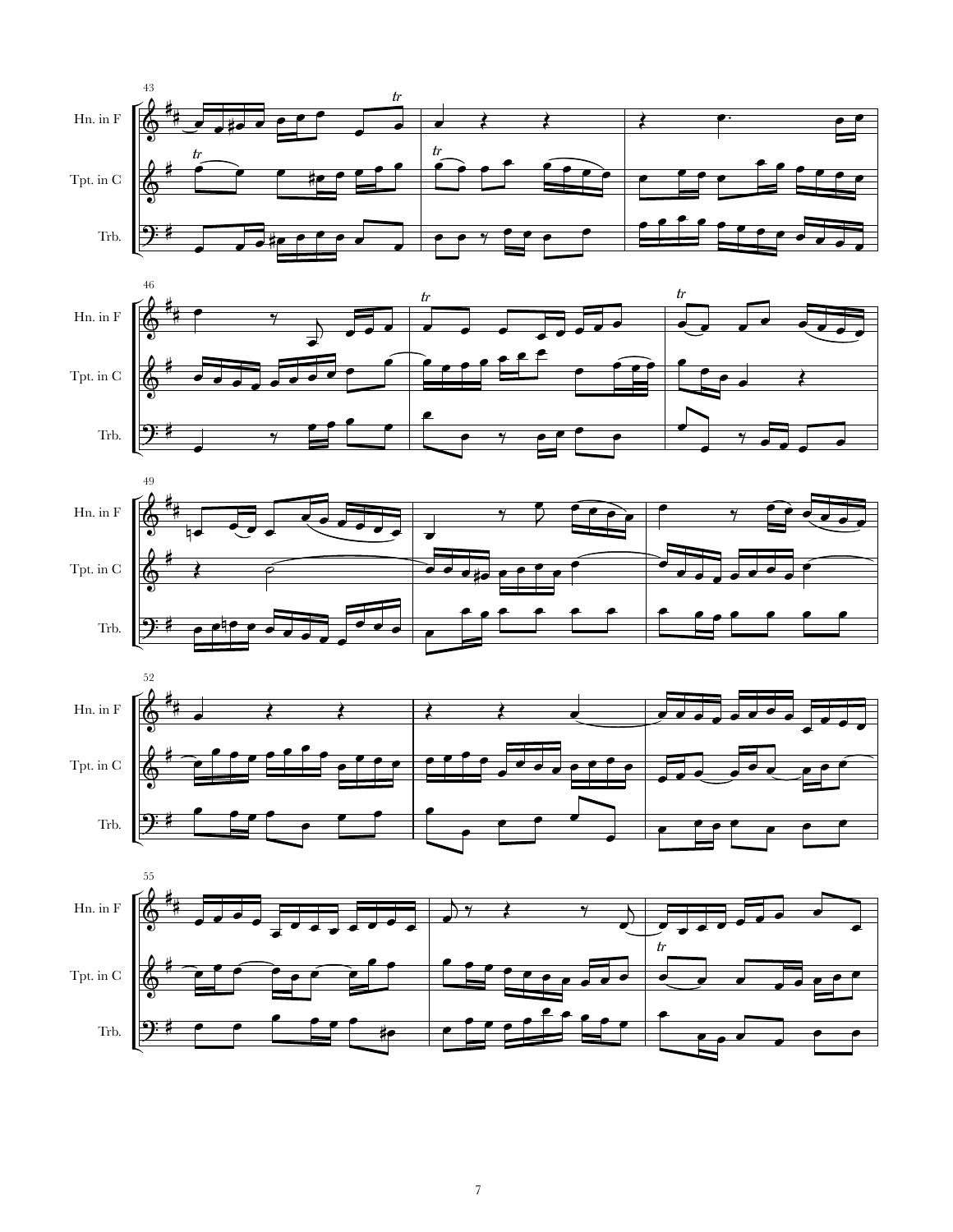







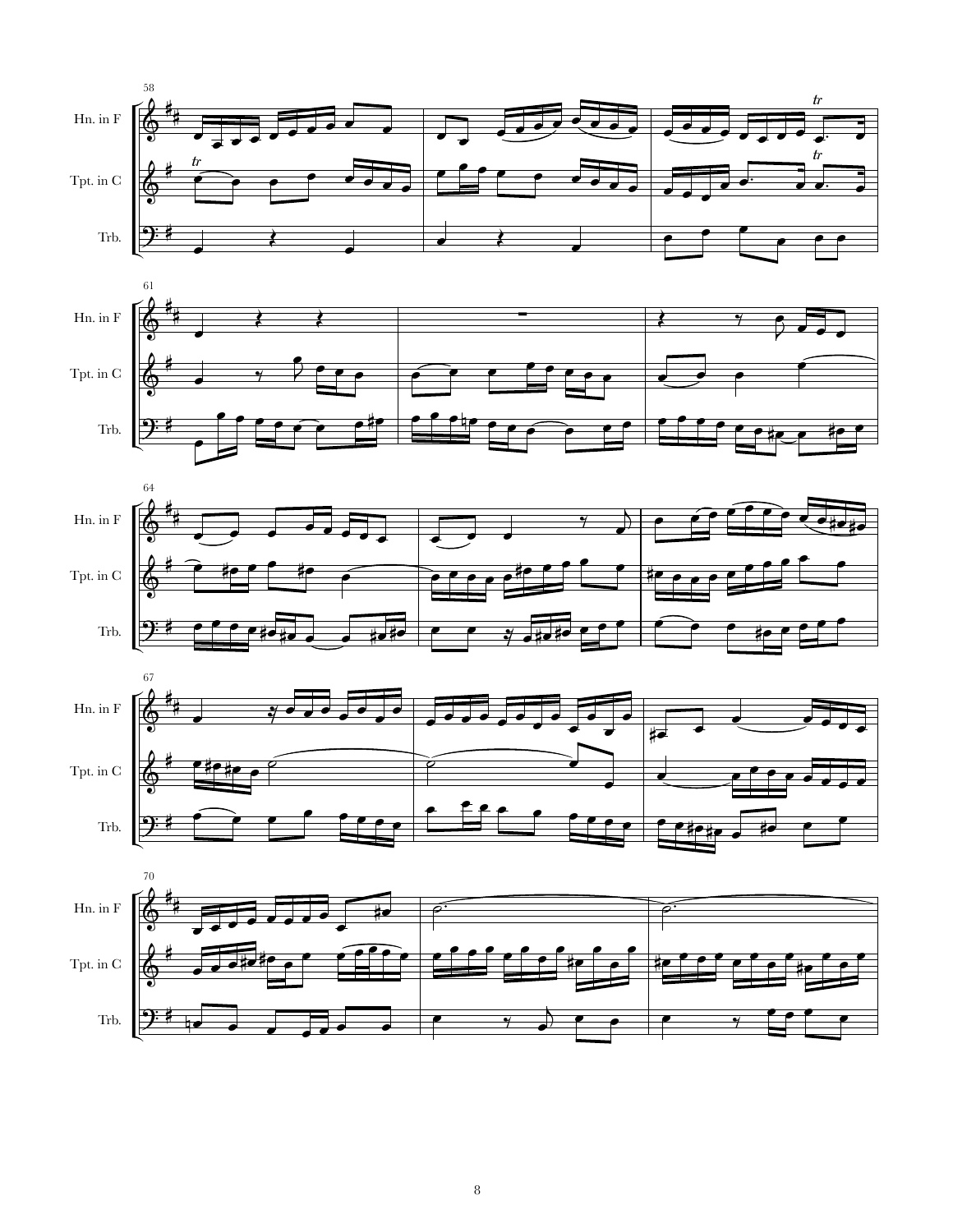







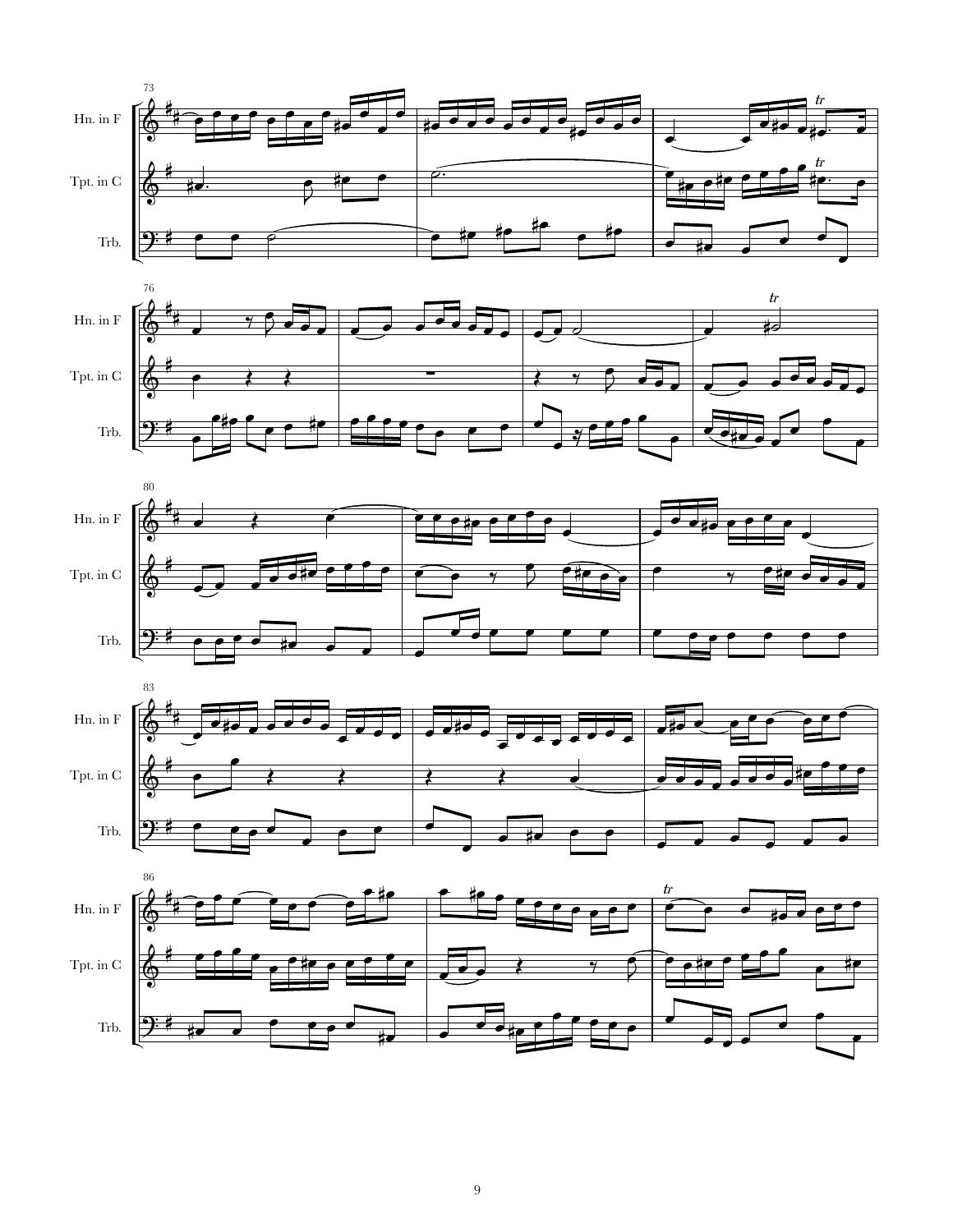







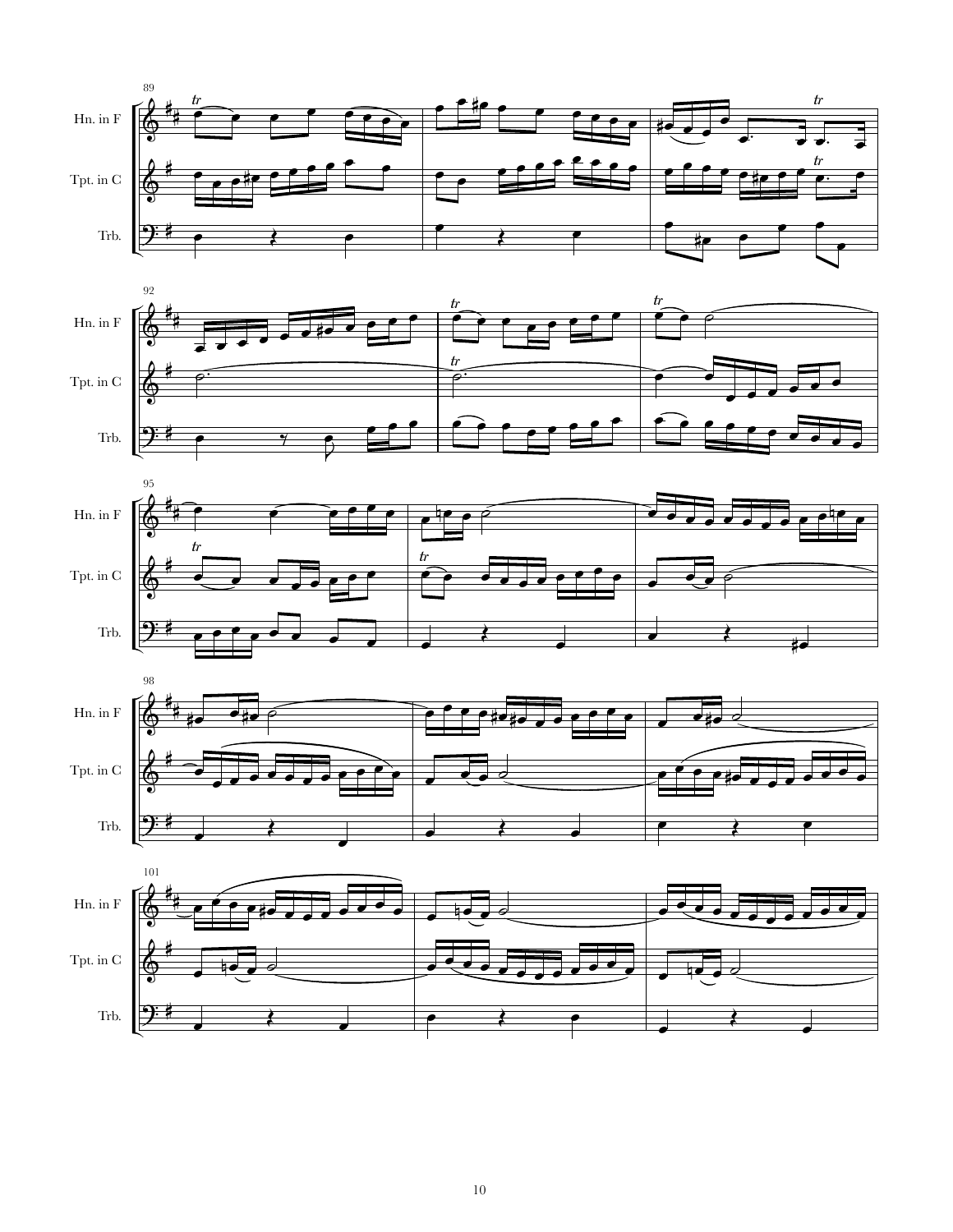







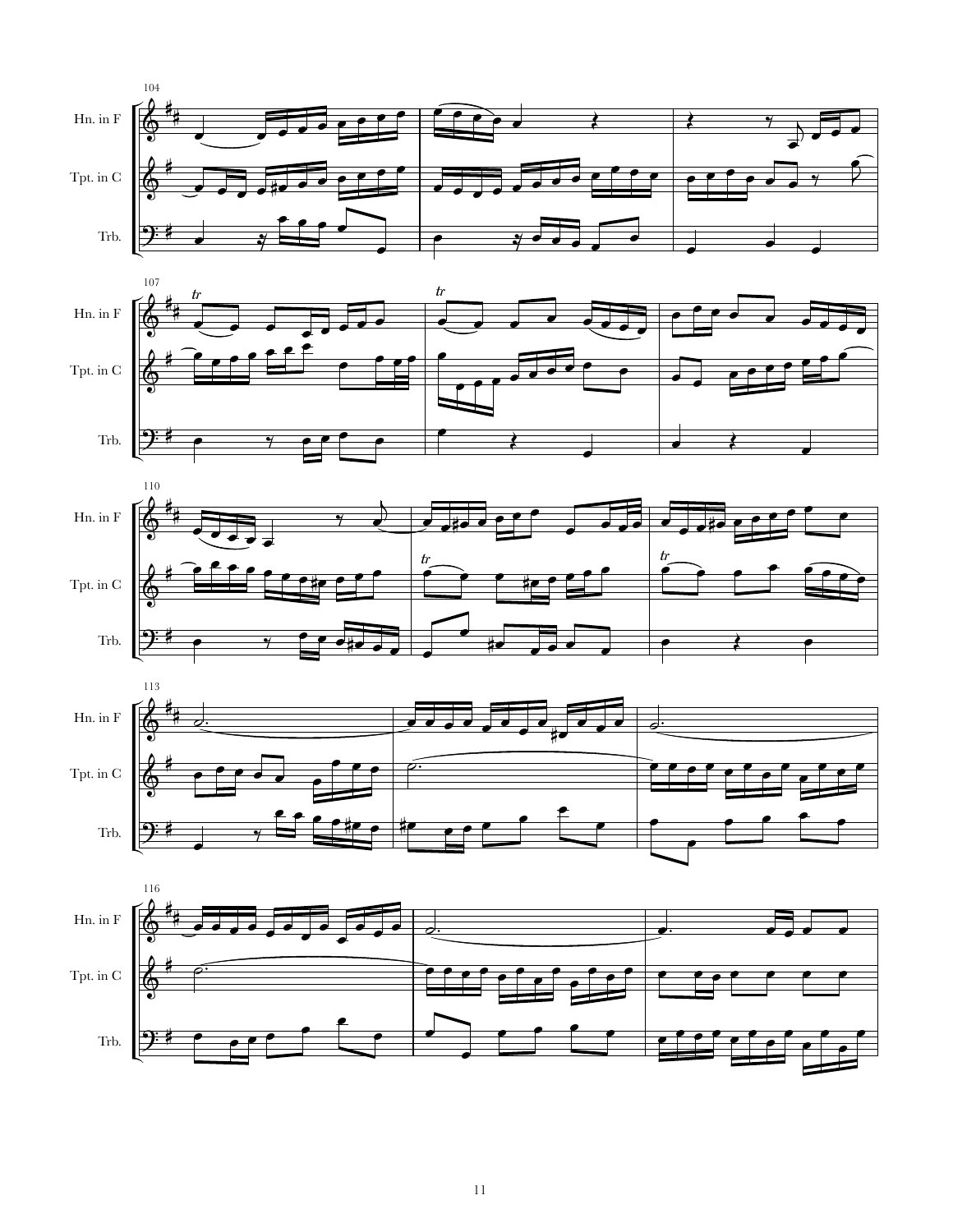







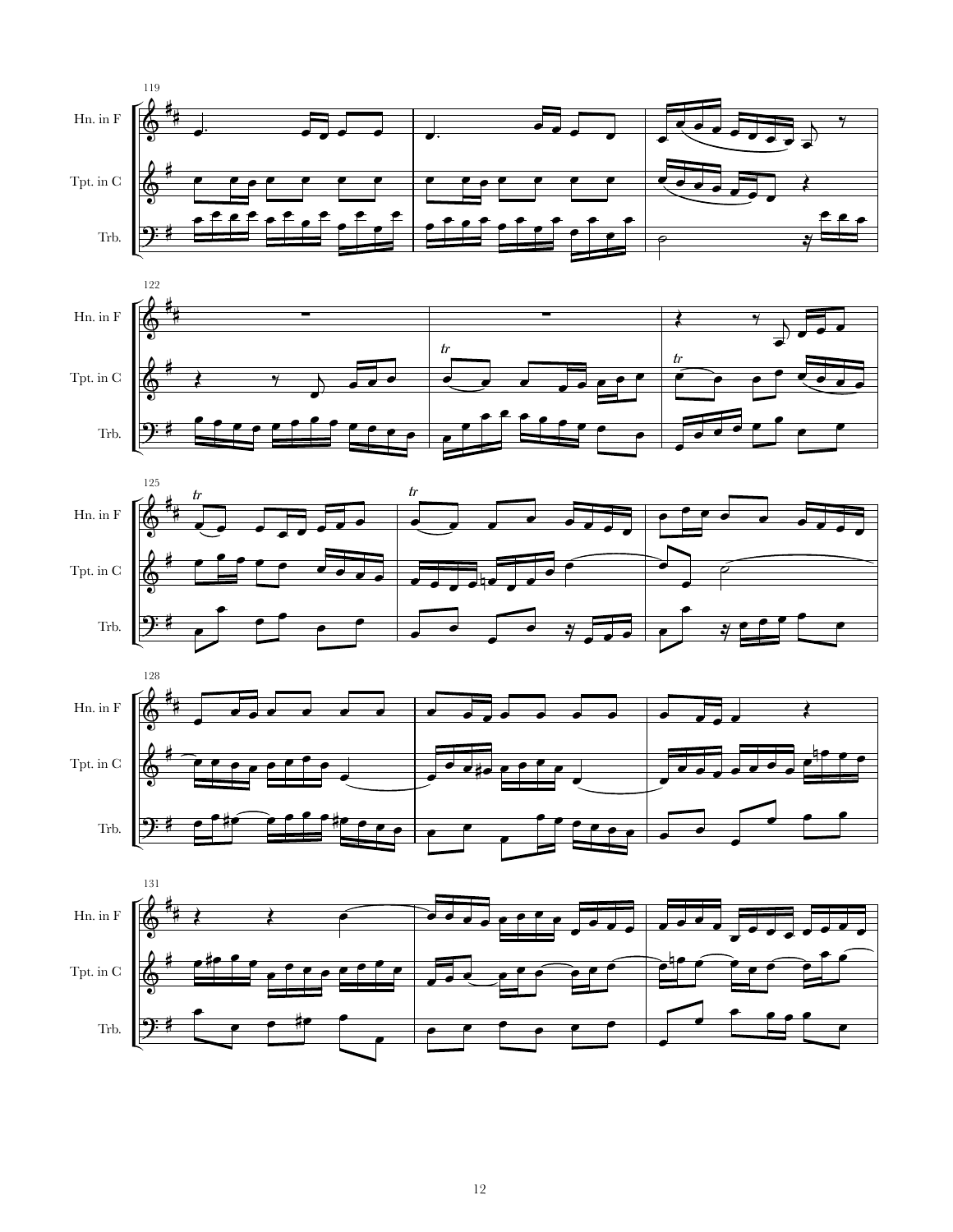







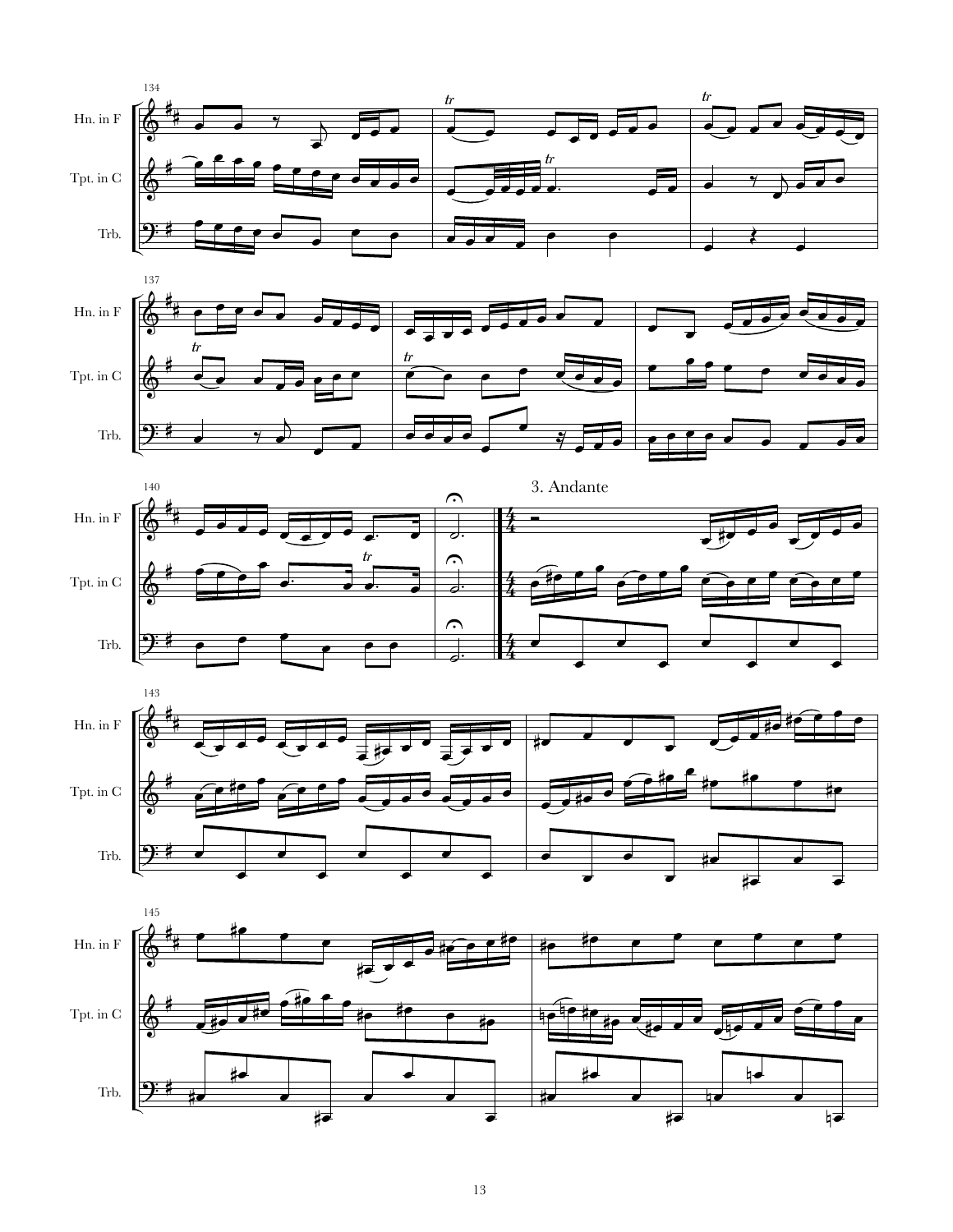







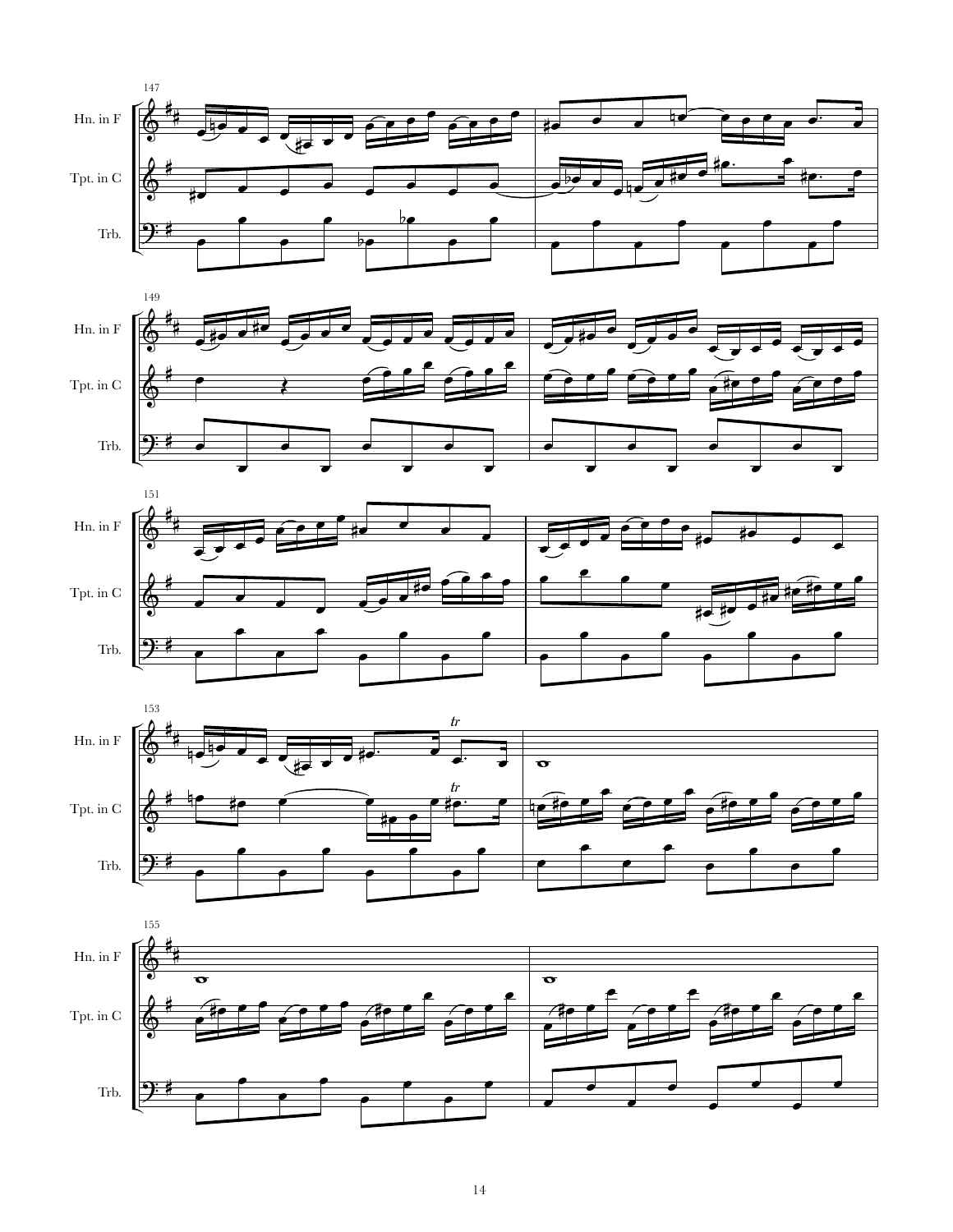







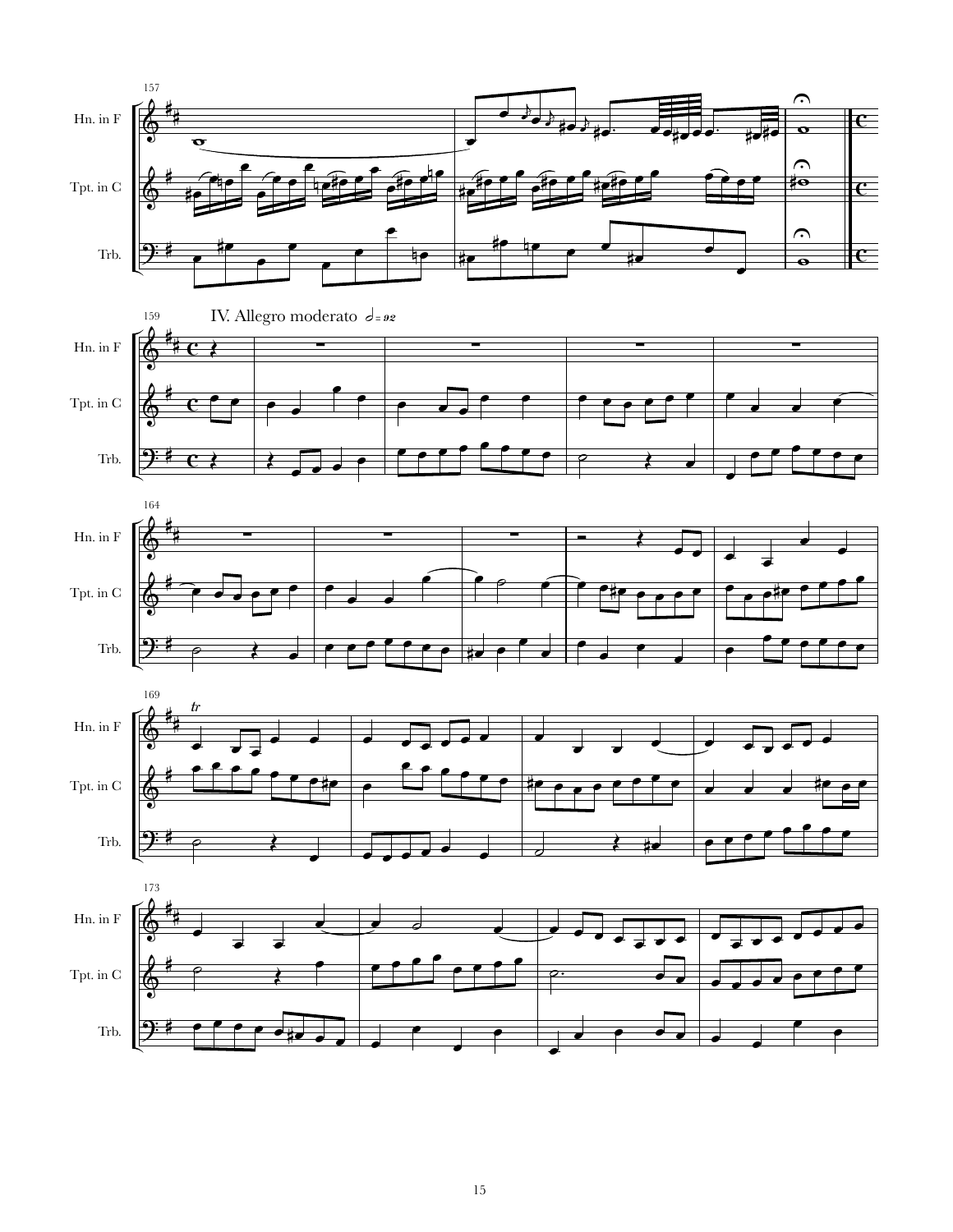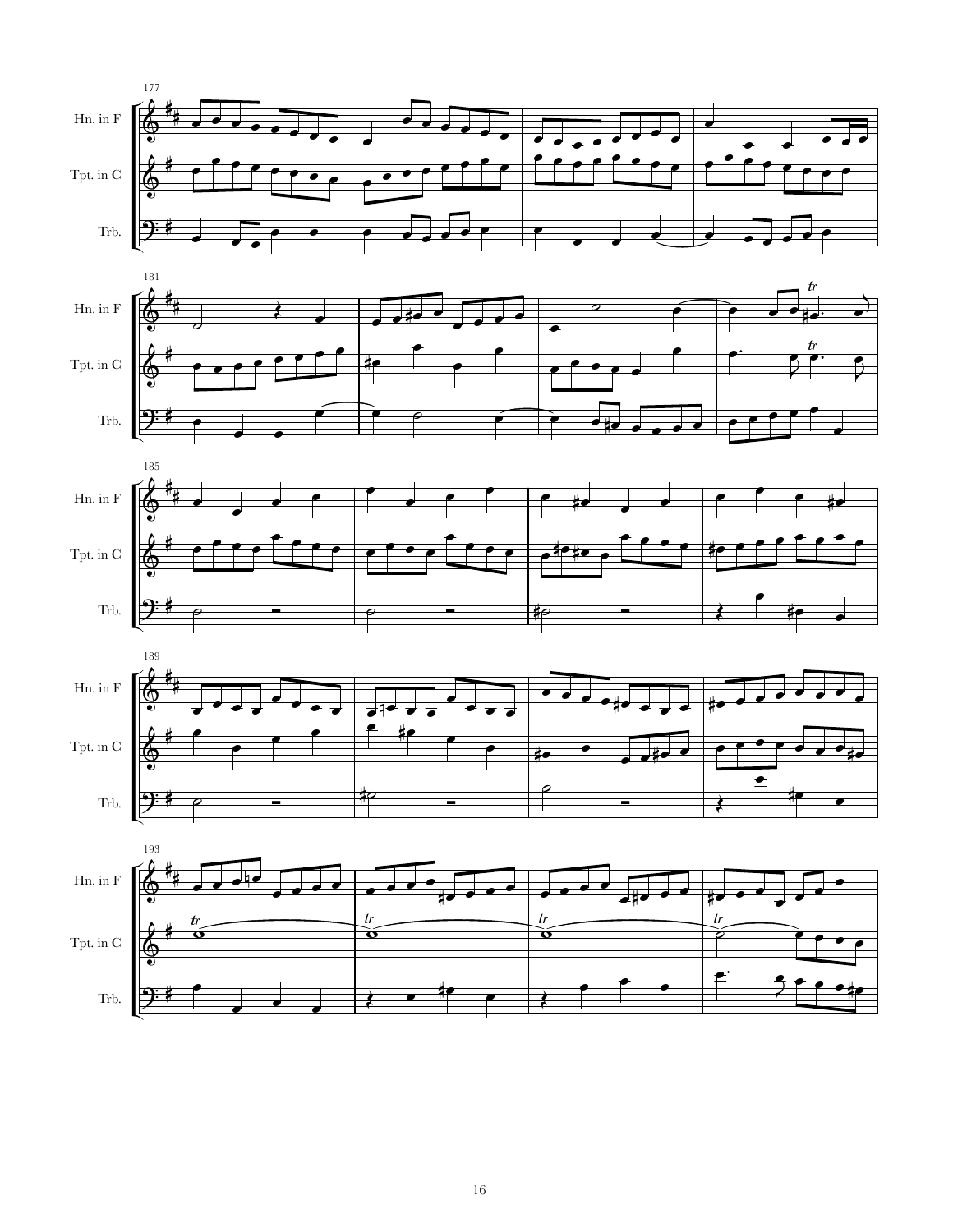

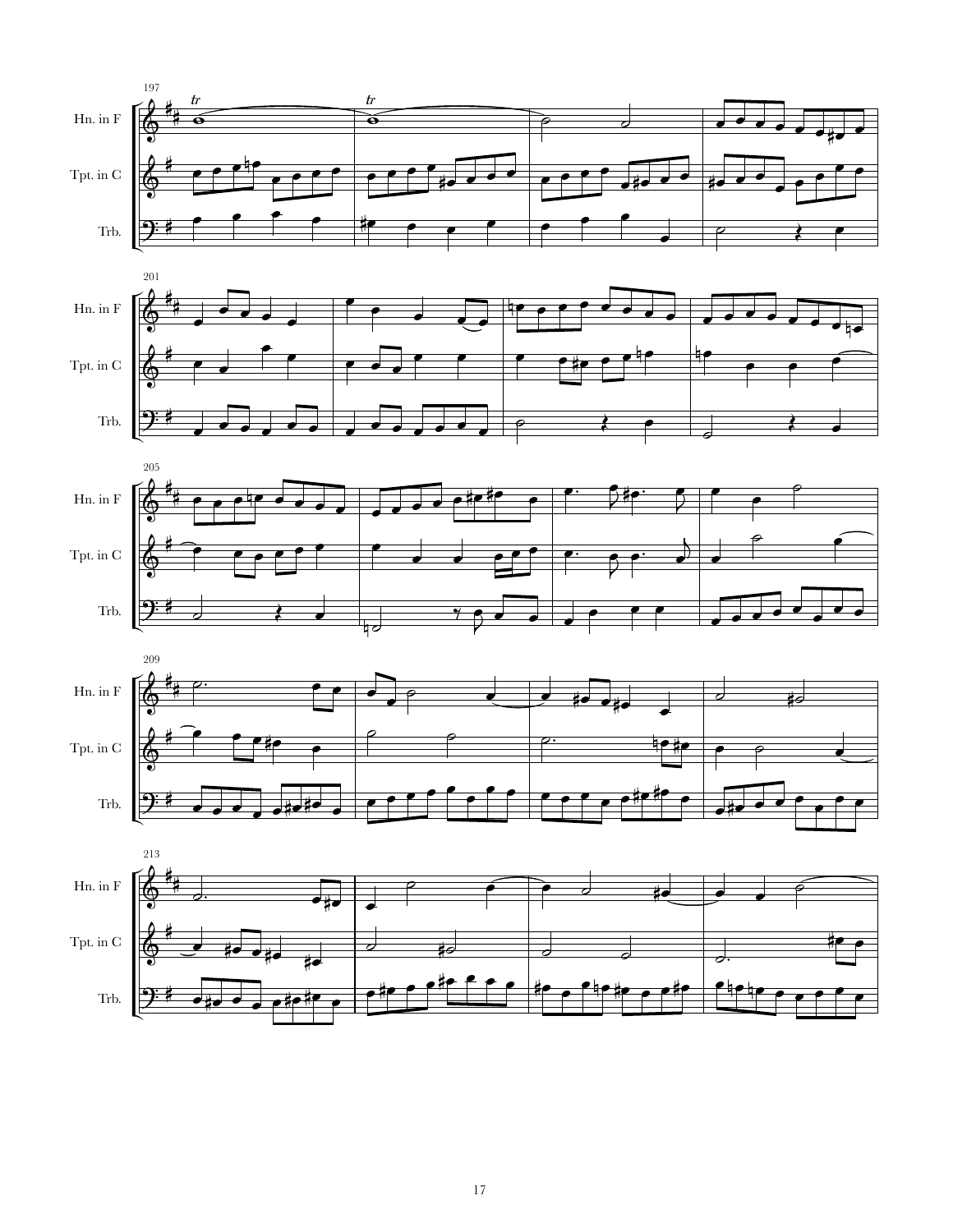







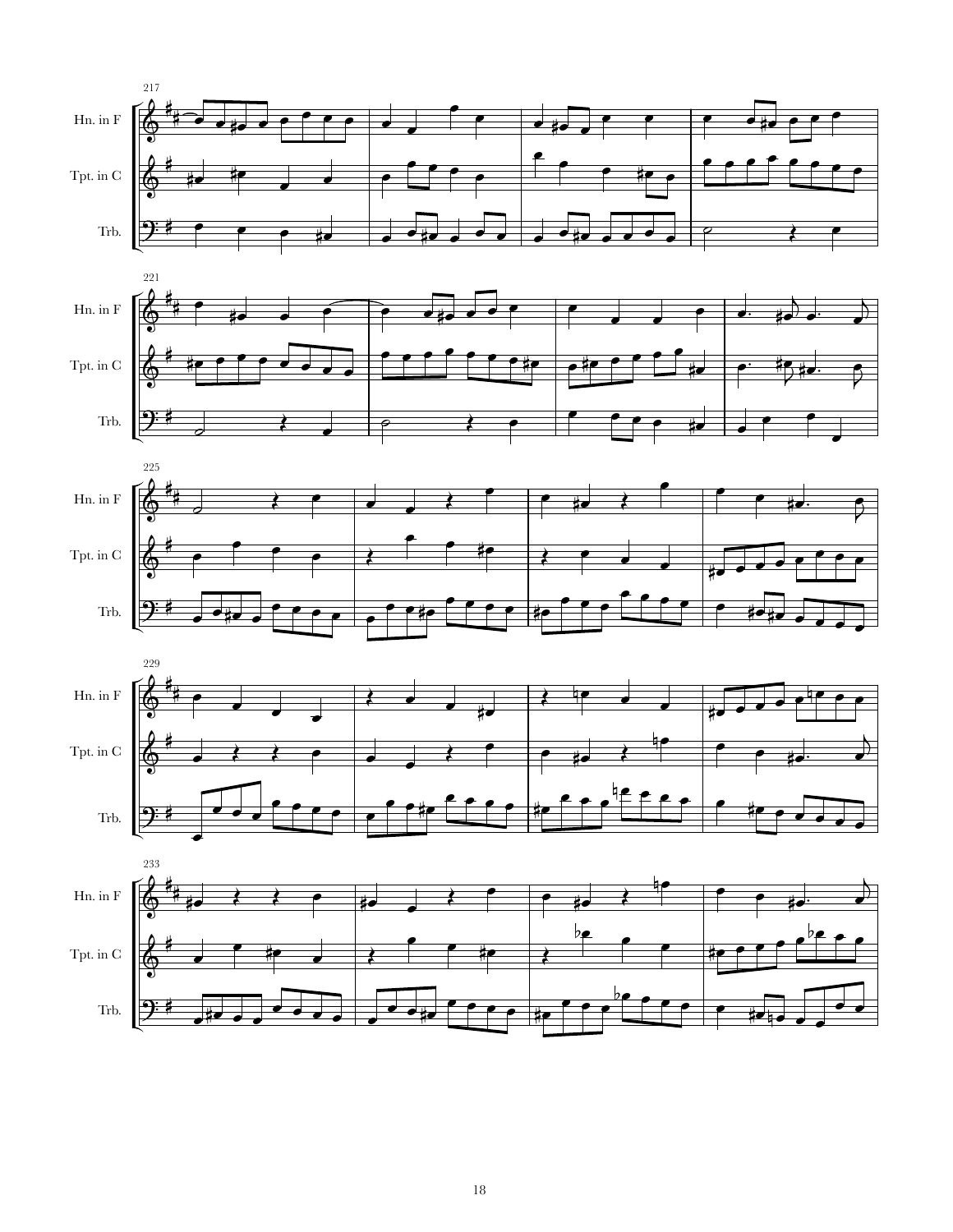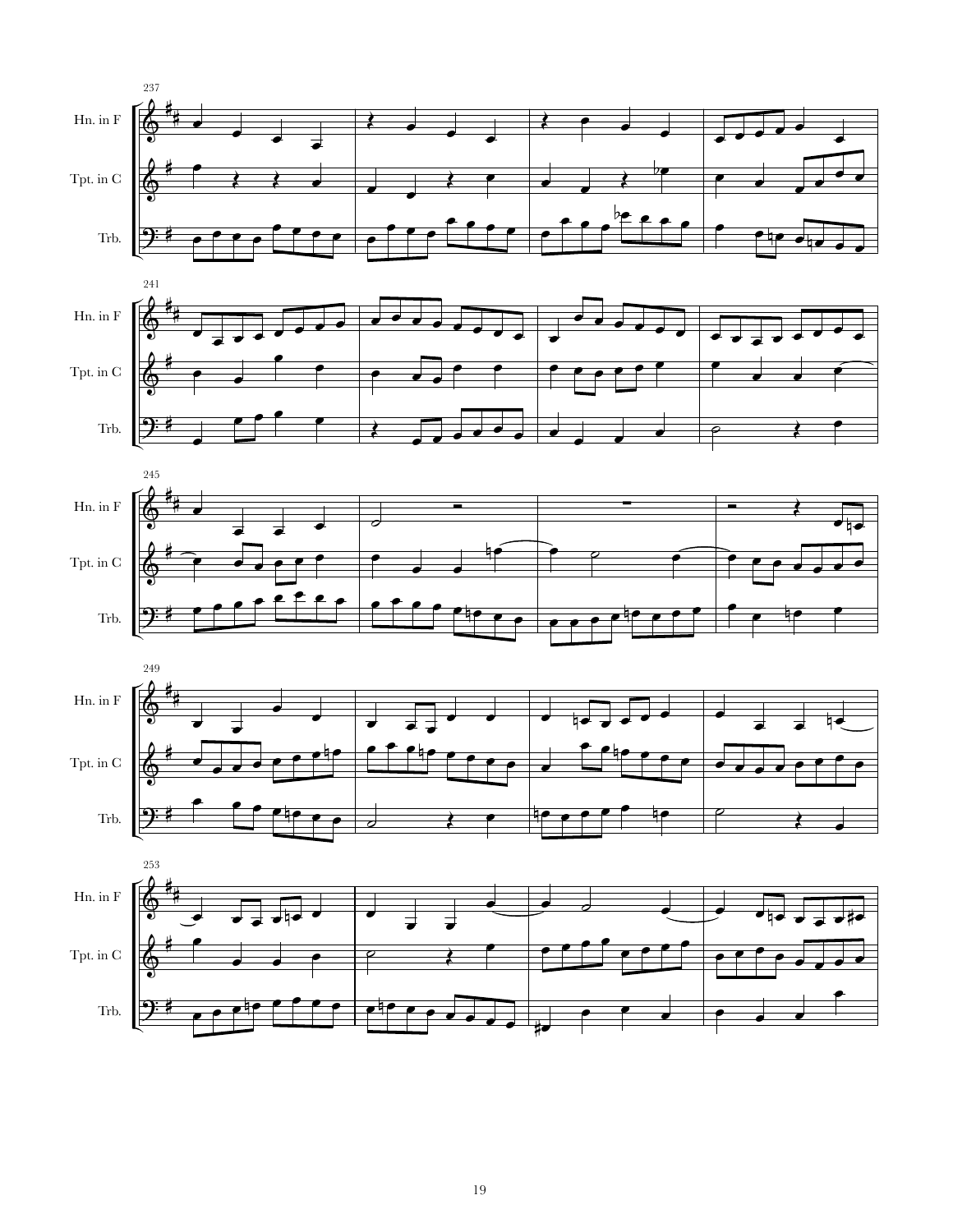







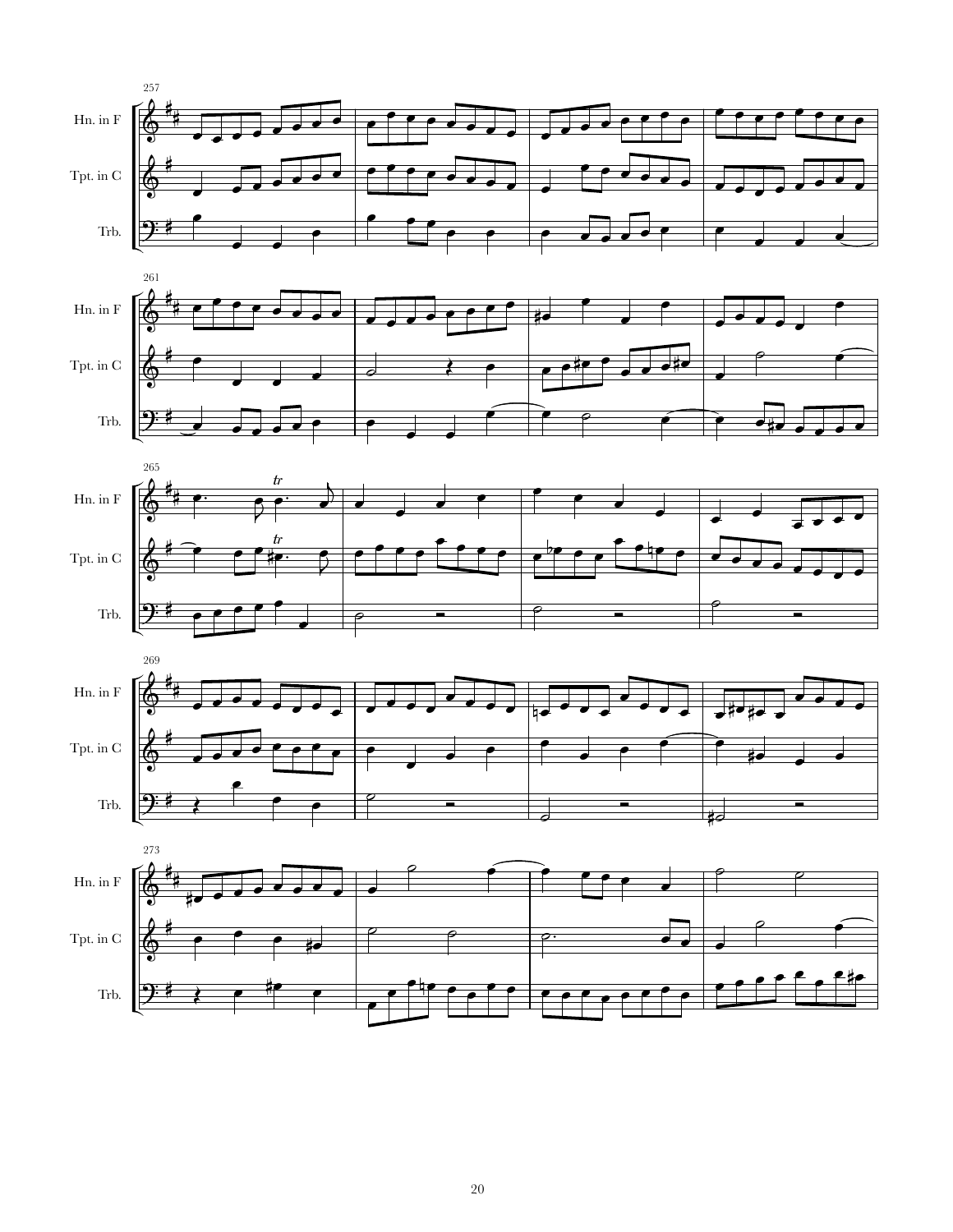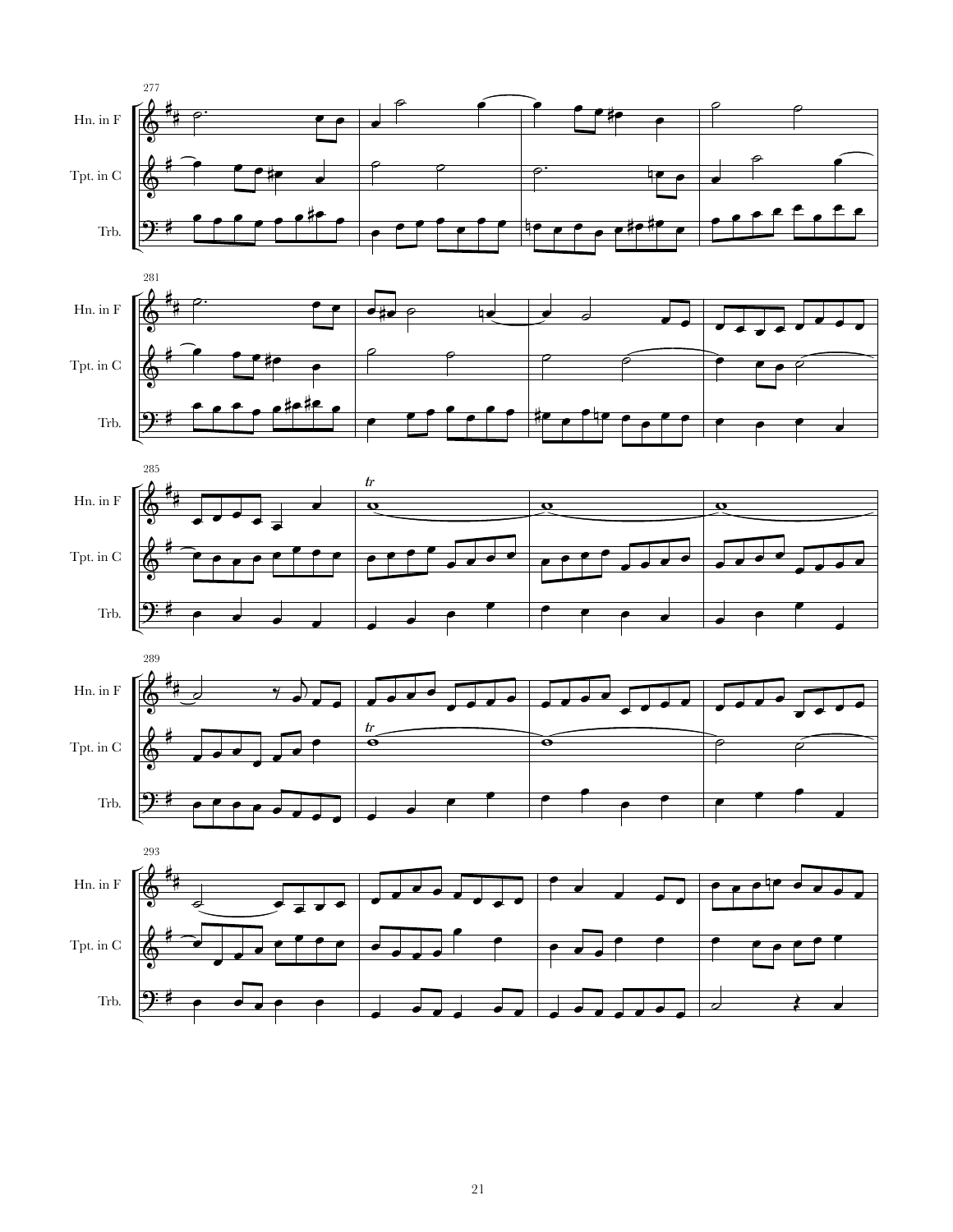

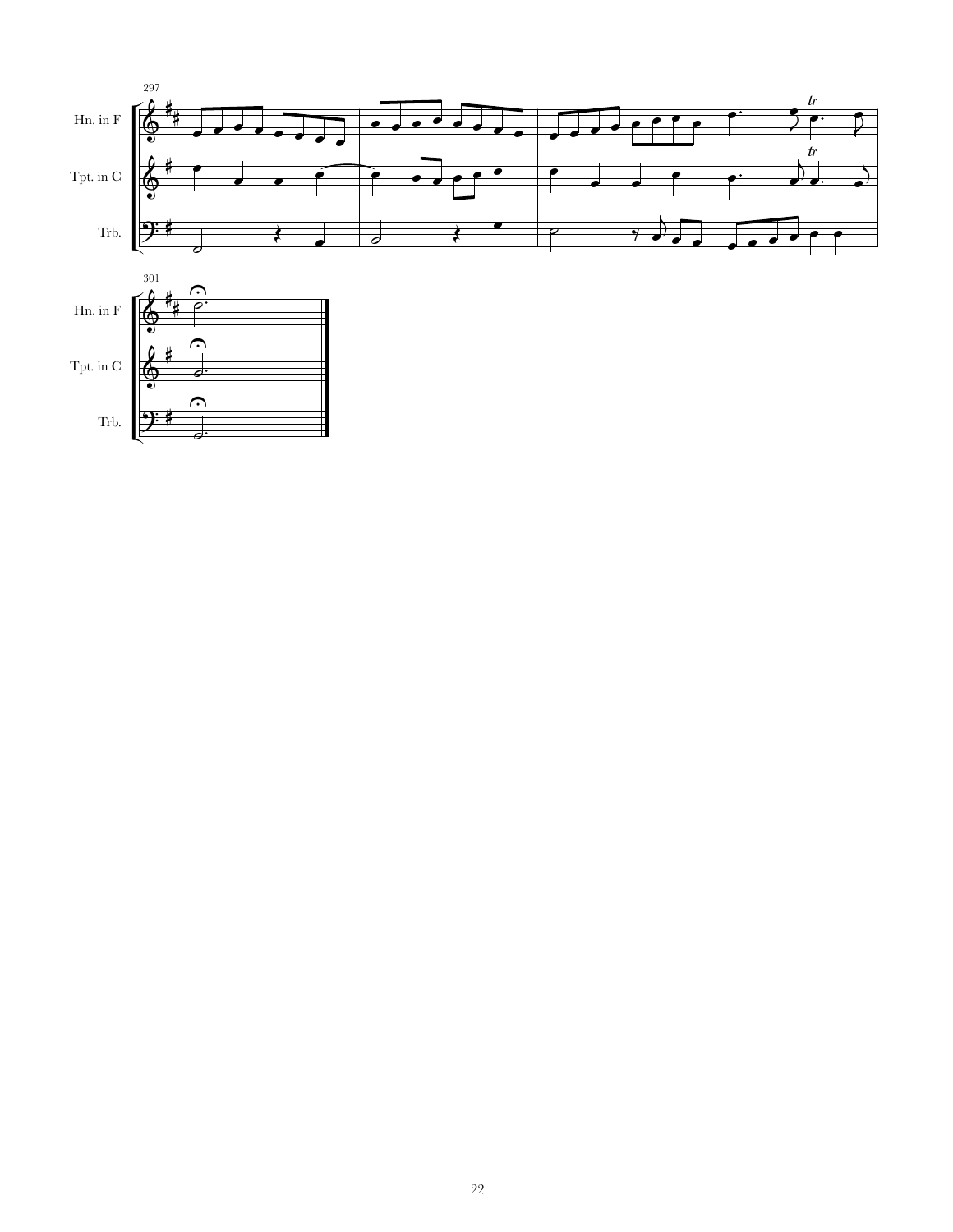

Trb.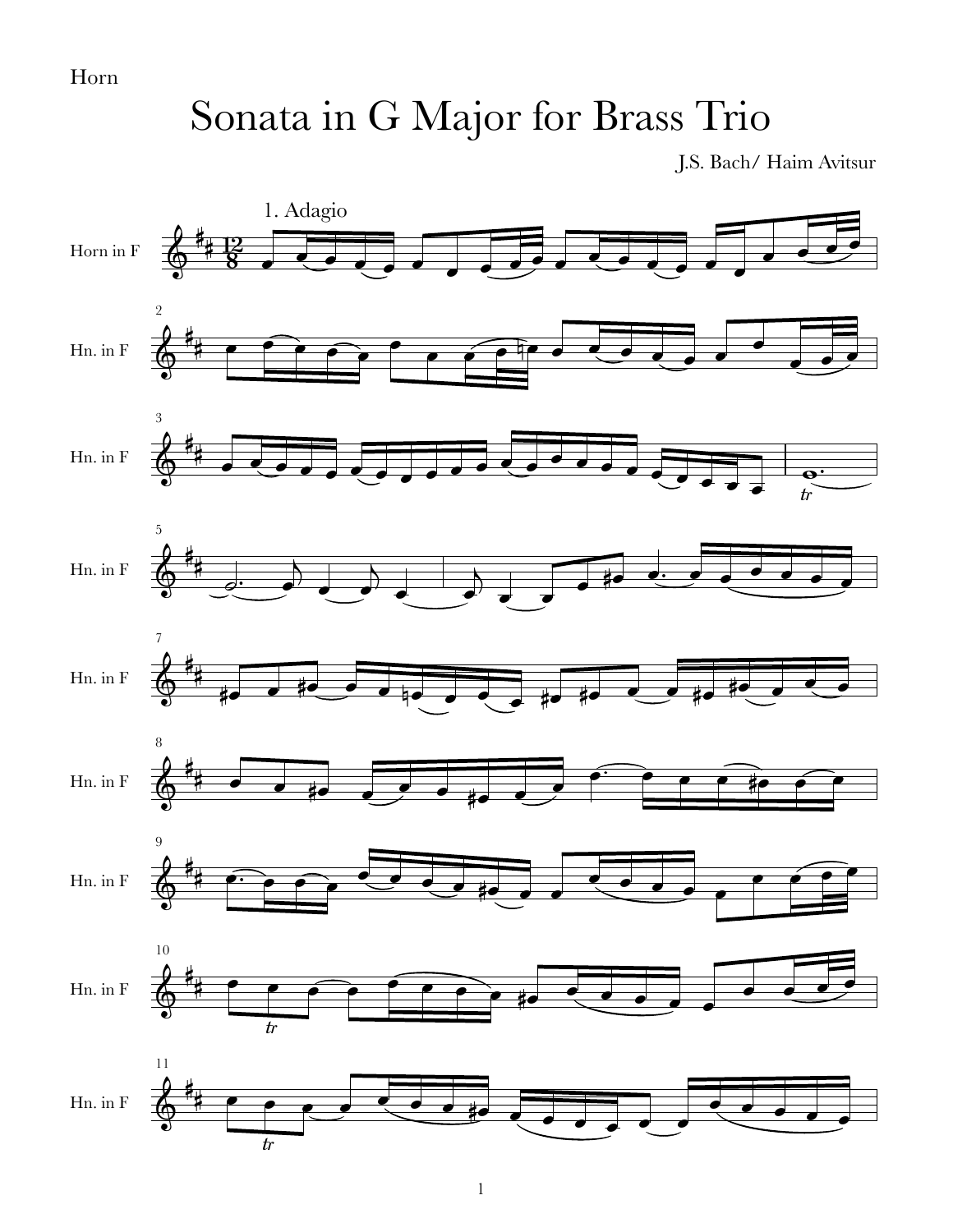Sonata in G Major for Brass Trio

J.S. Bach/Haim Avitsur

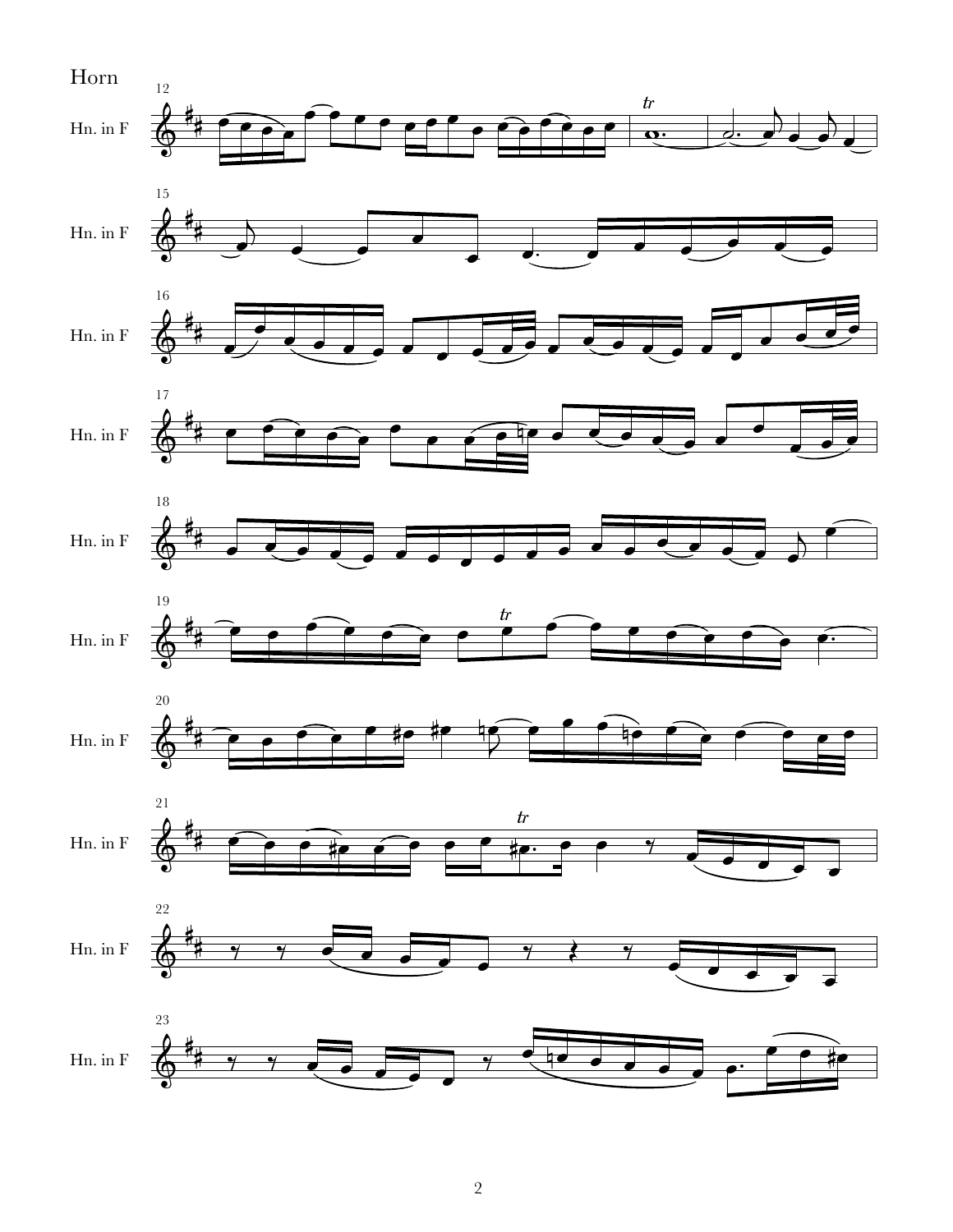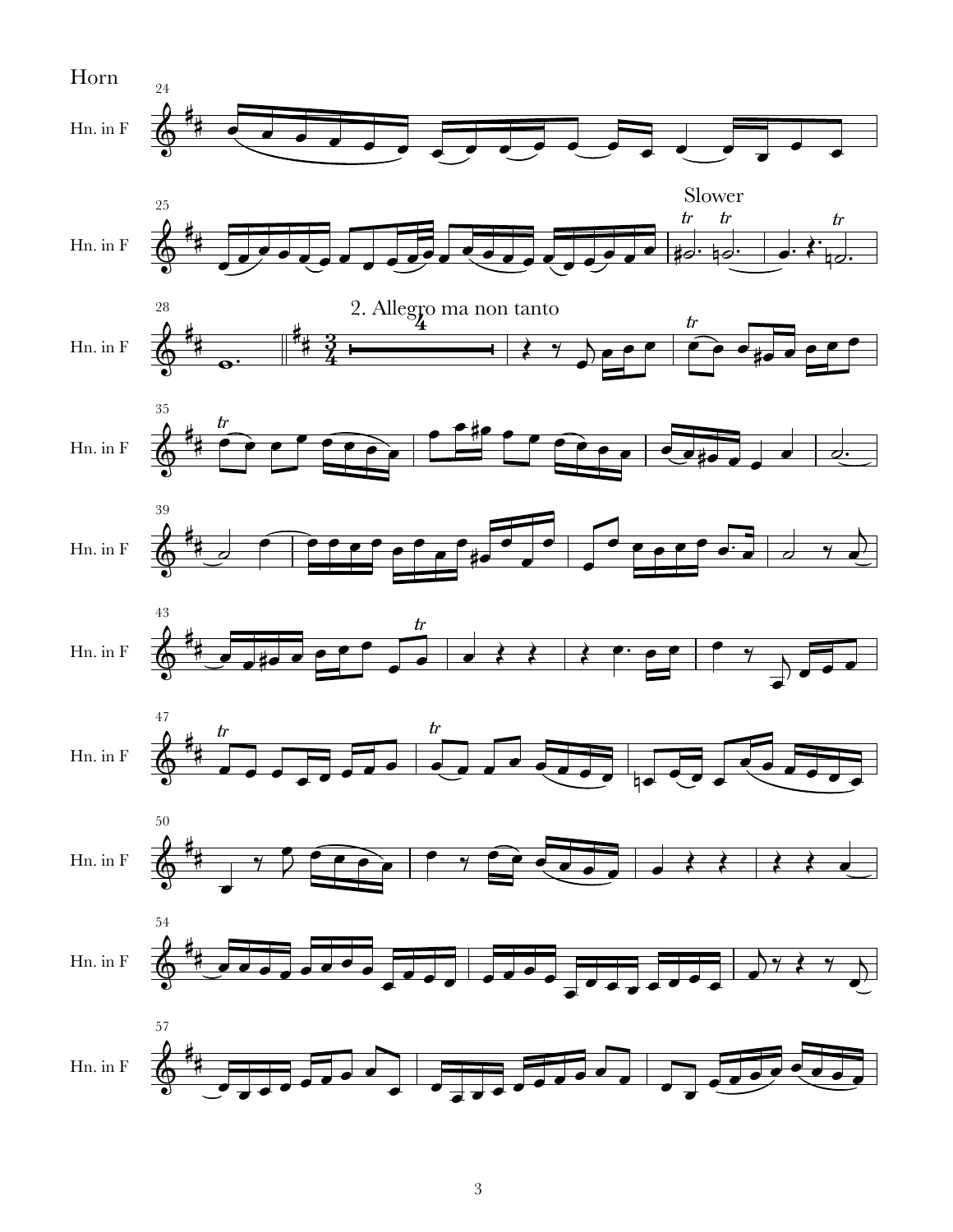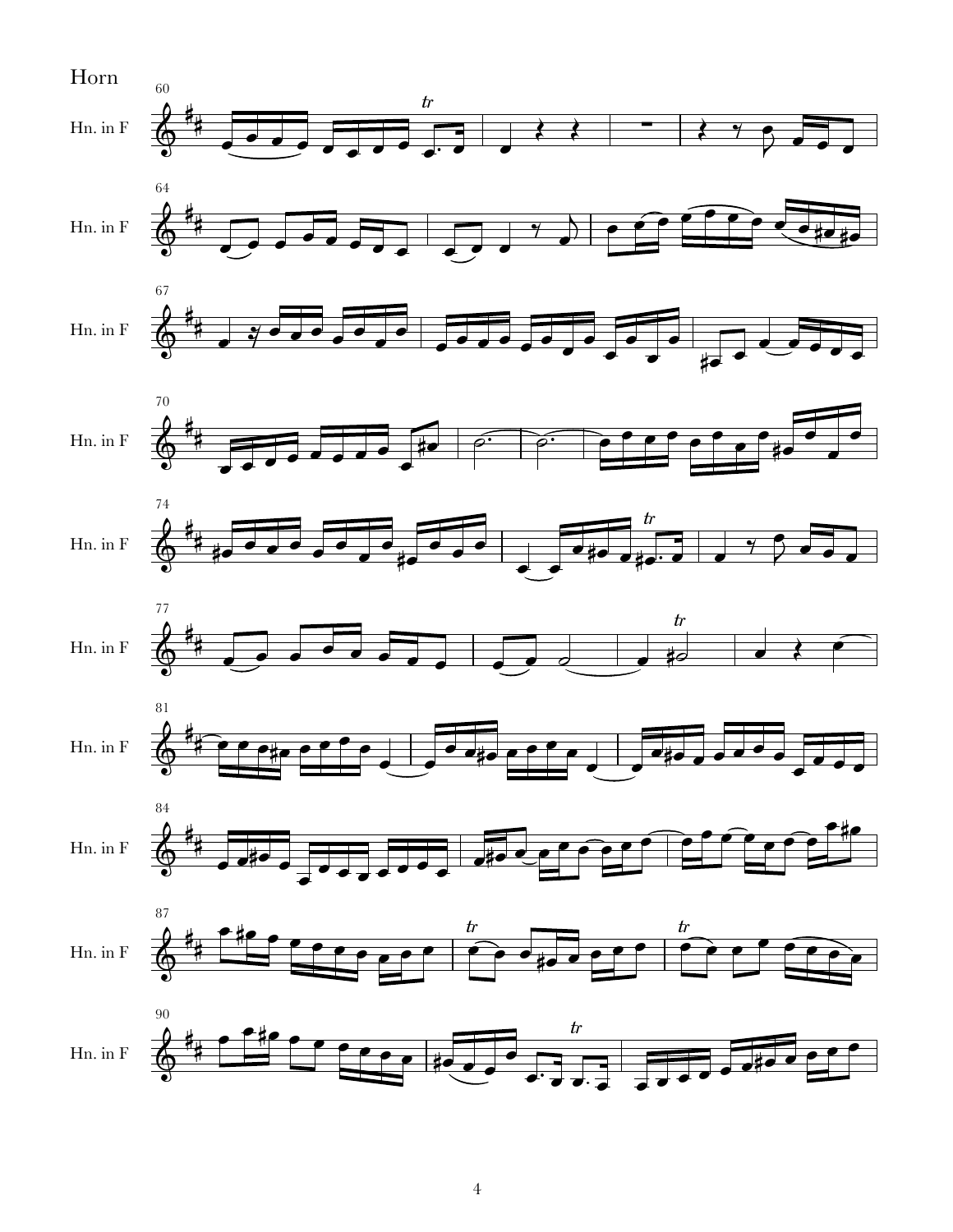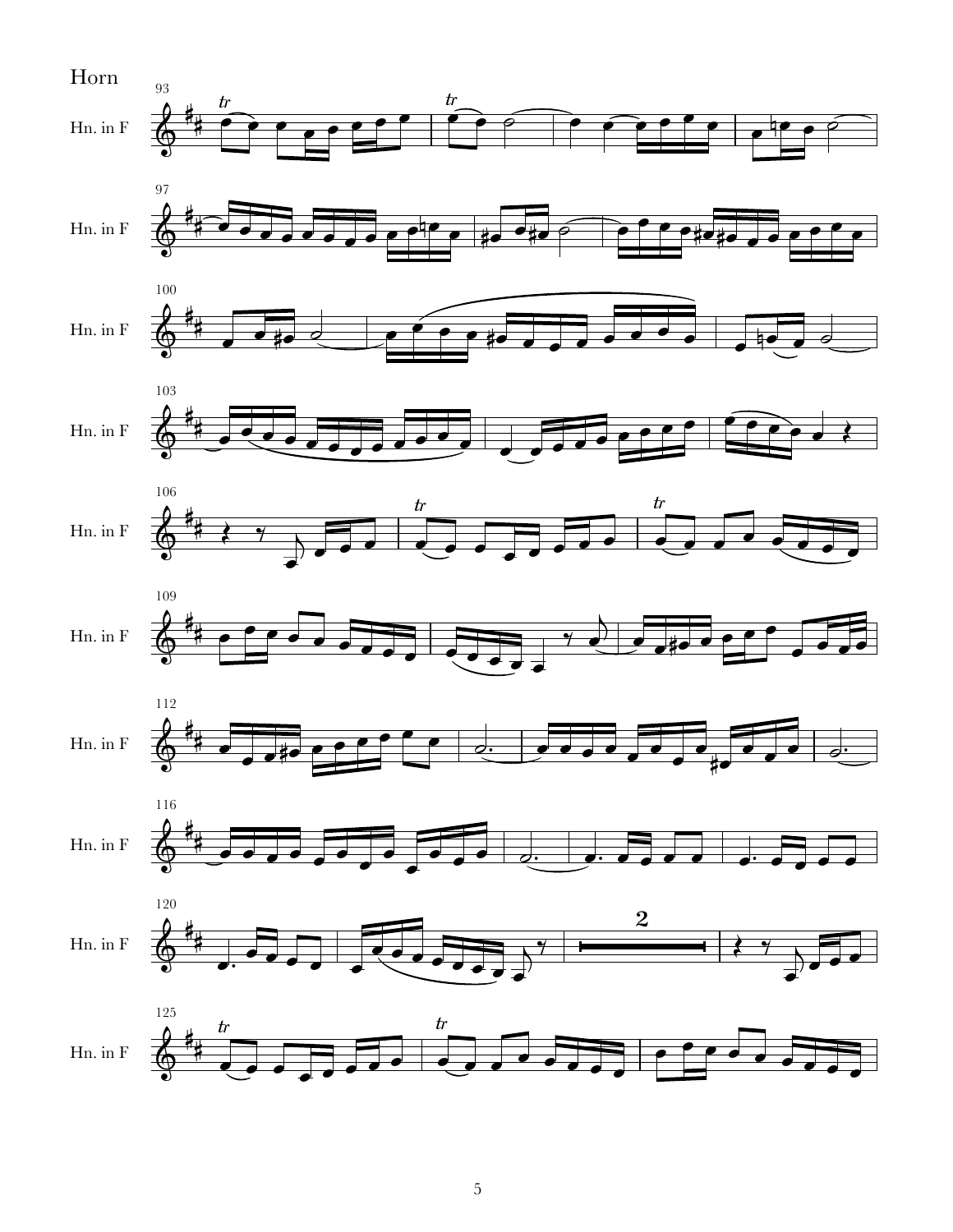

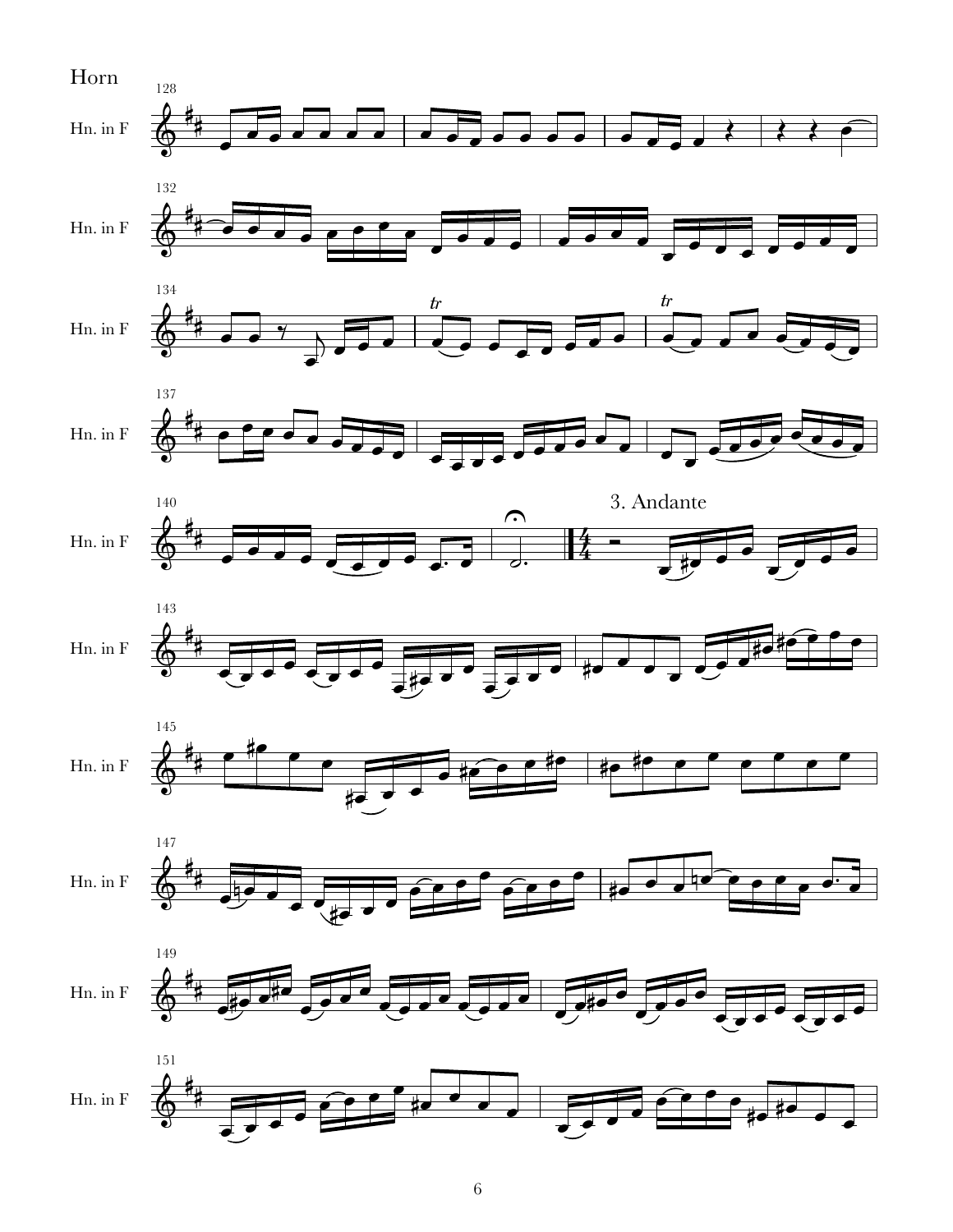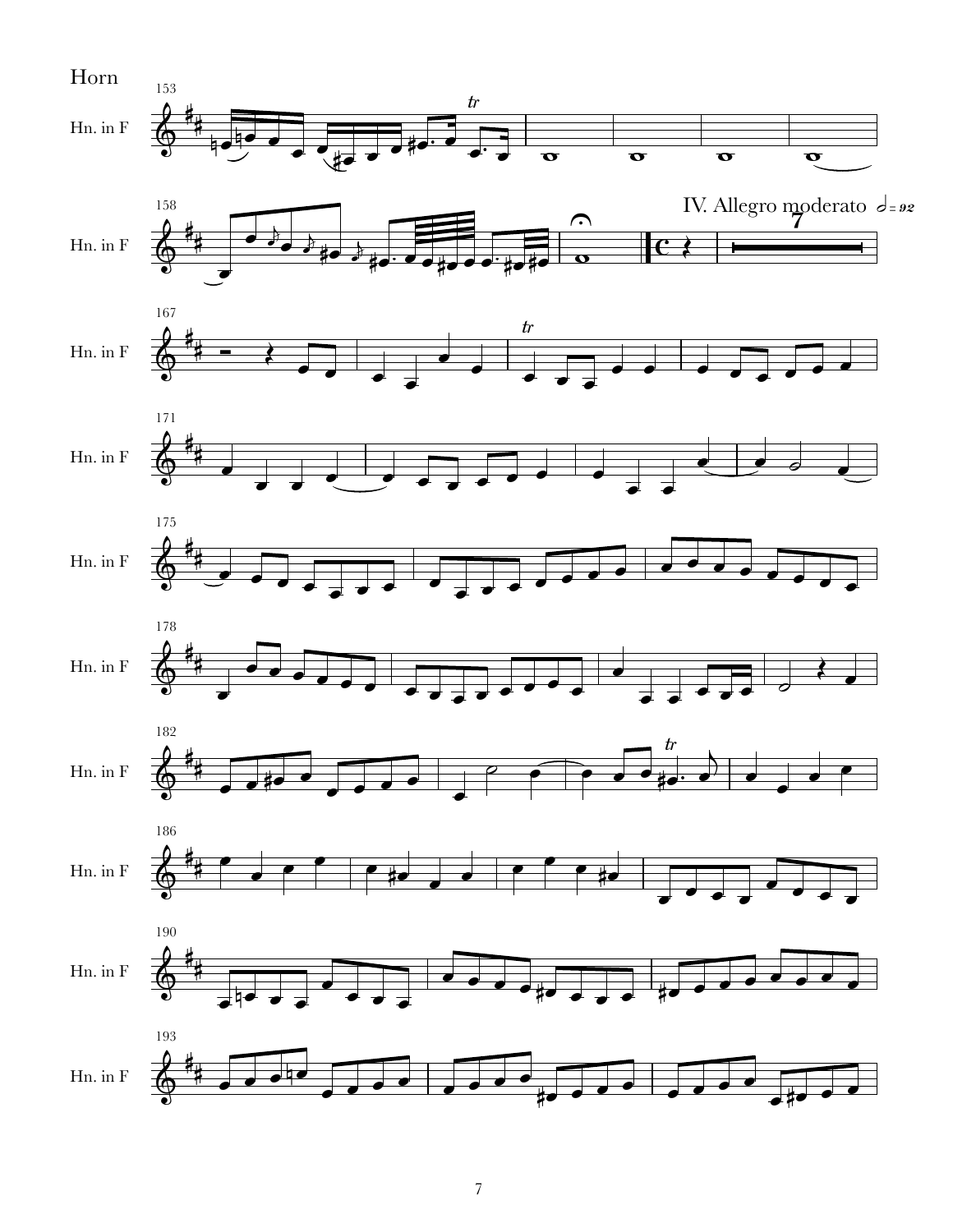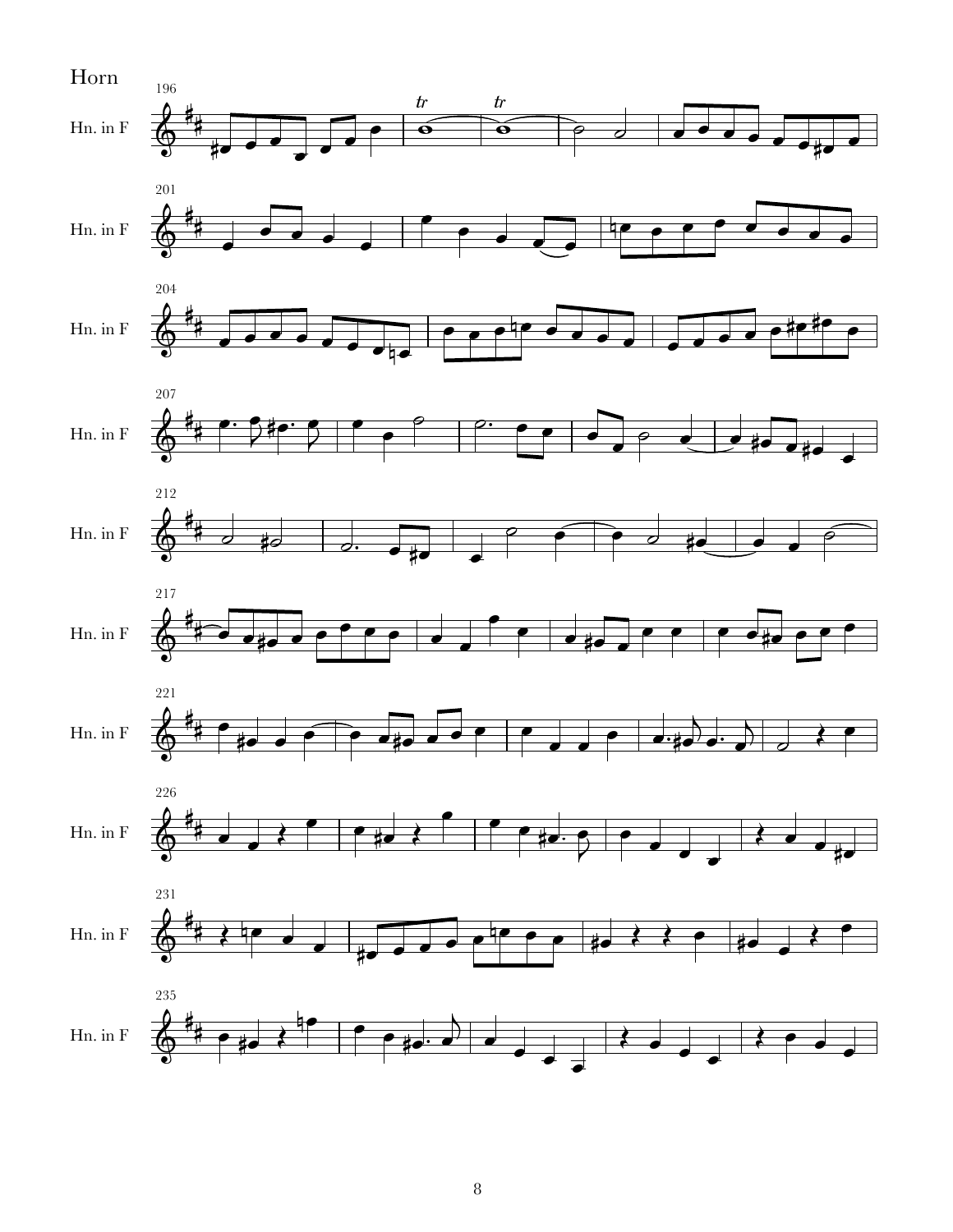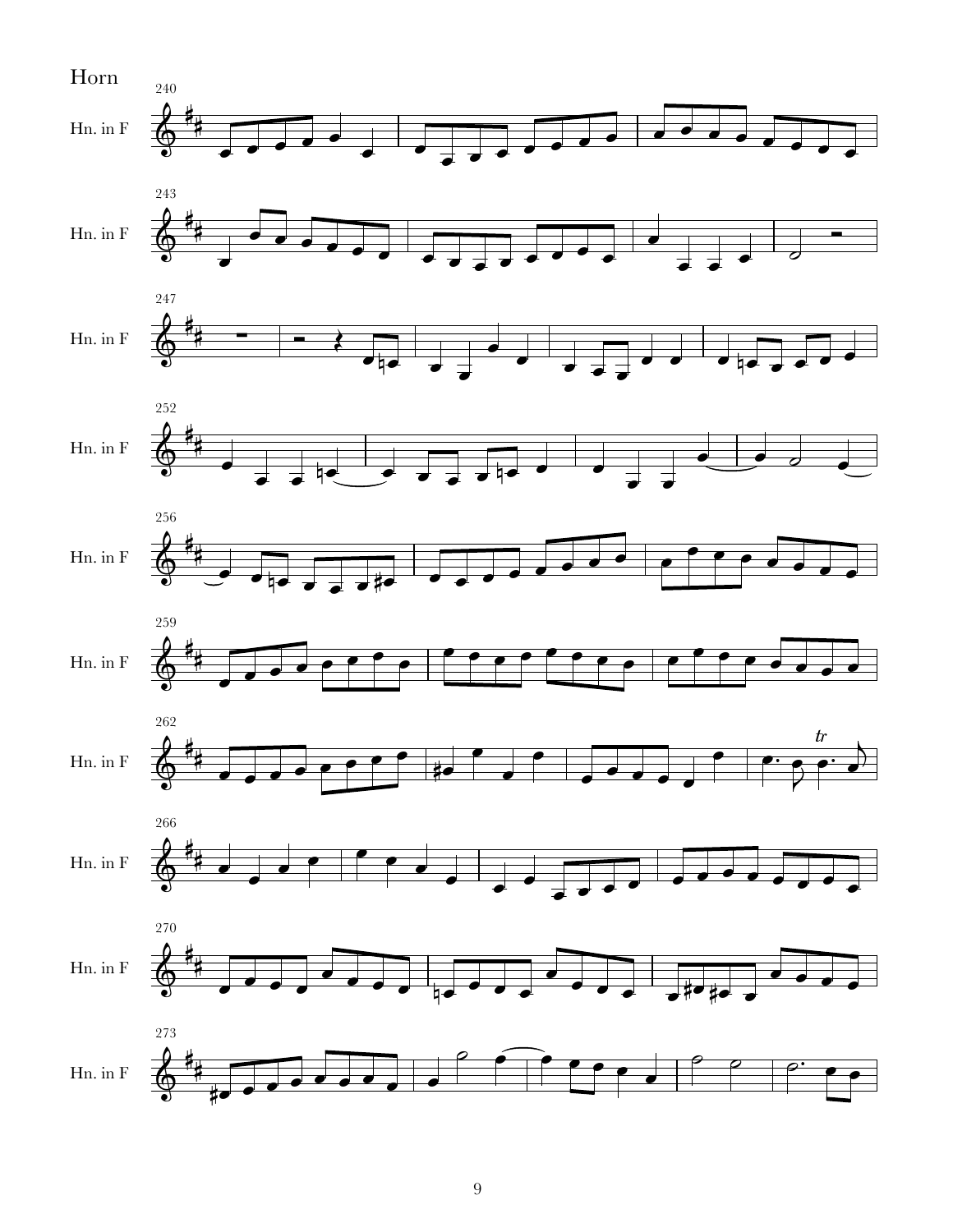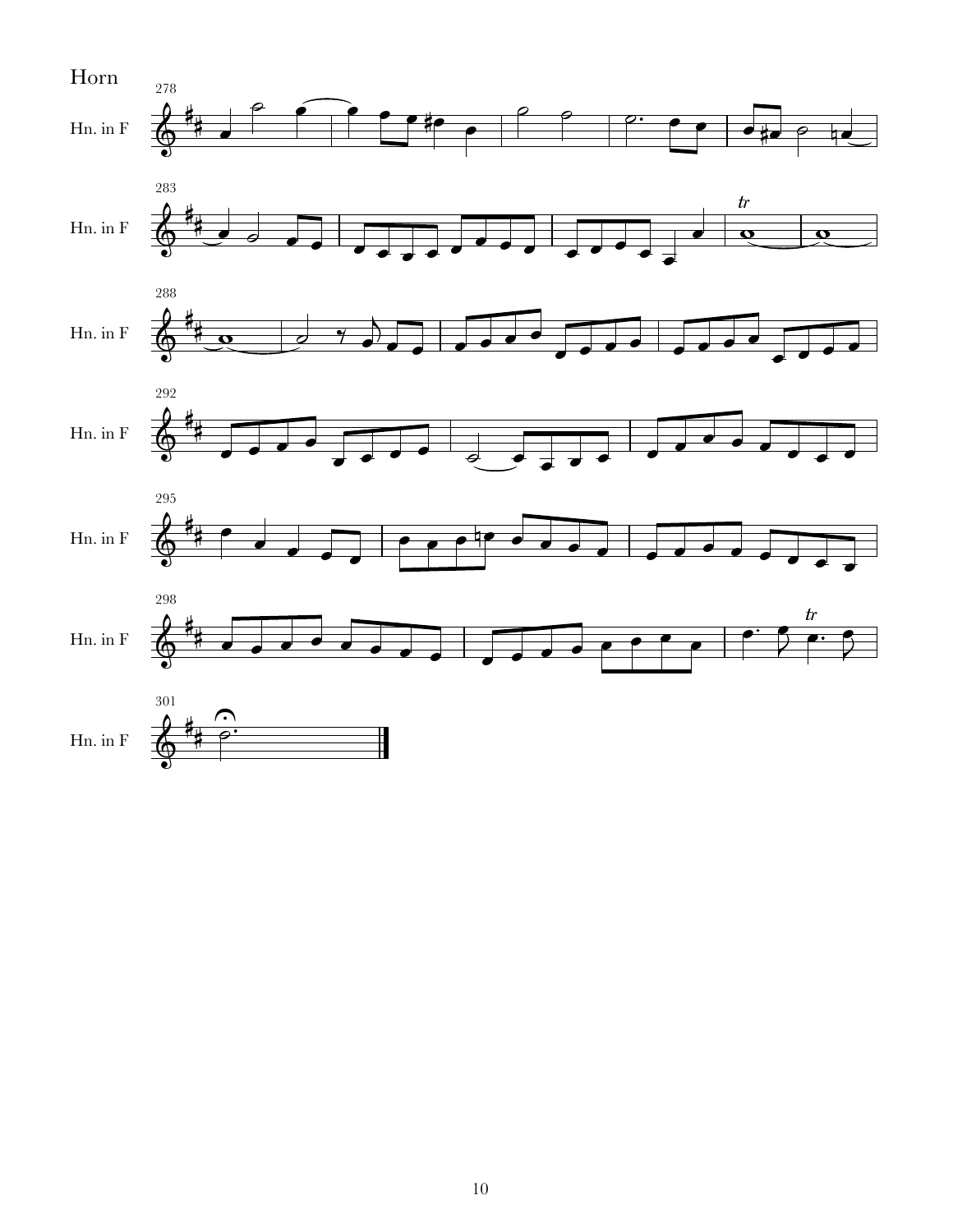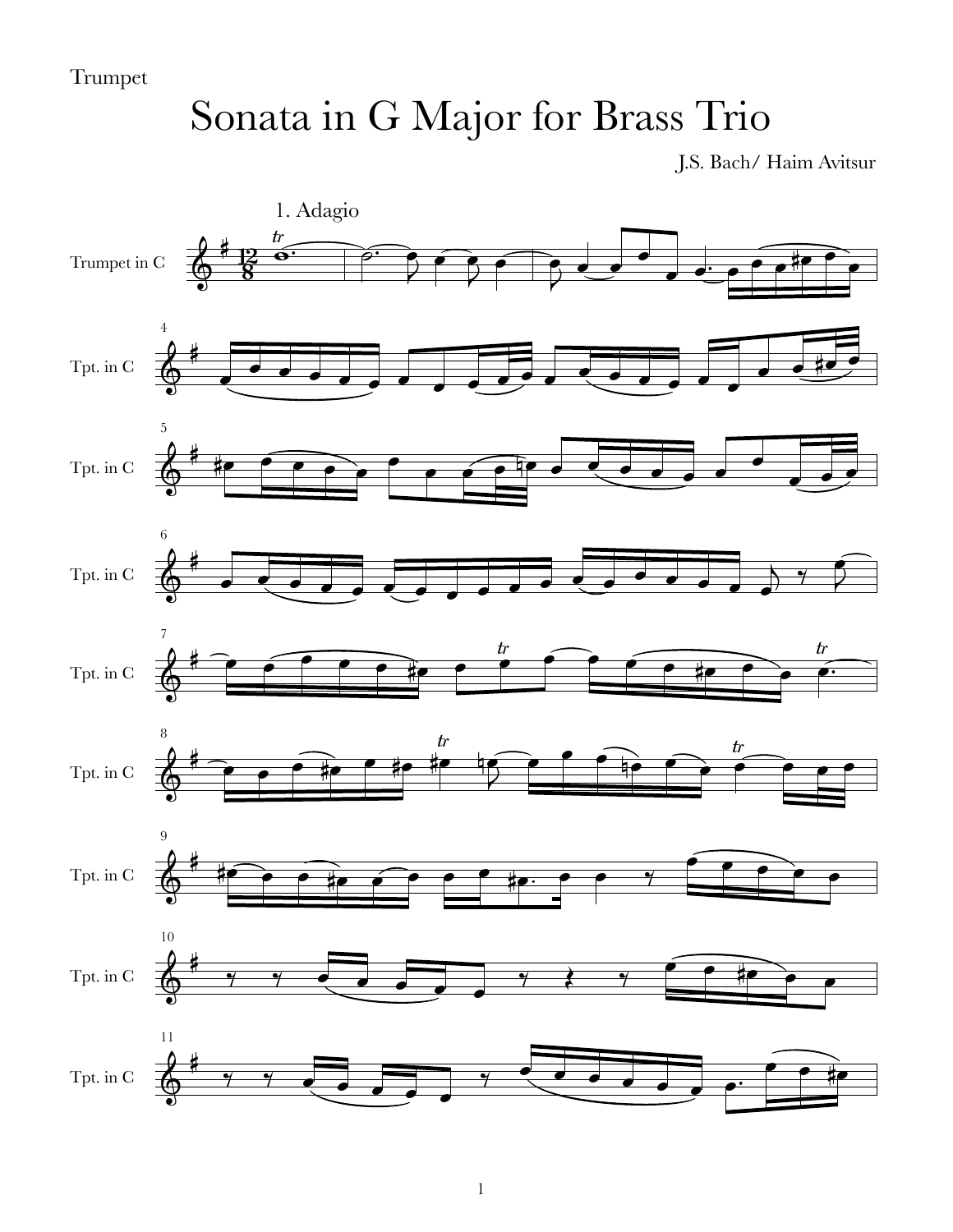#### Trumpet

# Sonata in G Major for Brass Trio

J.S. Bach/ Haim Avitsur

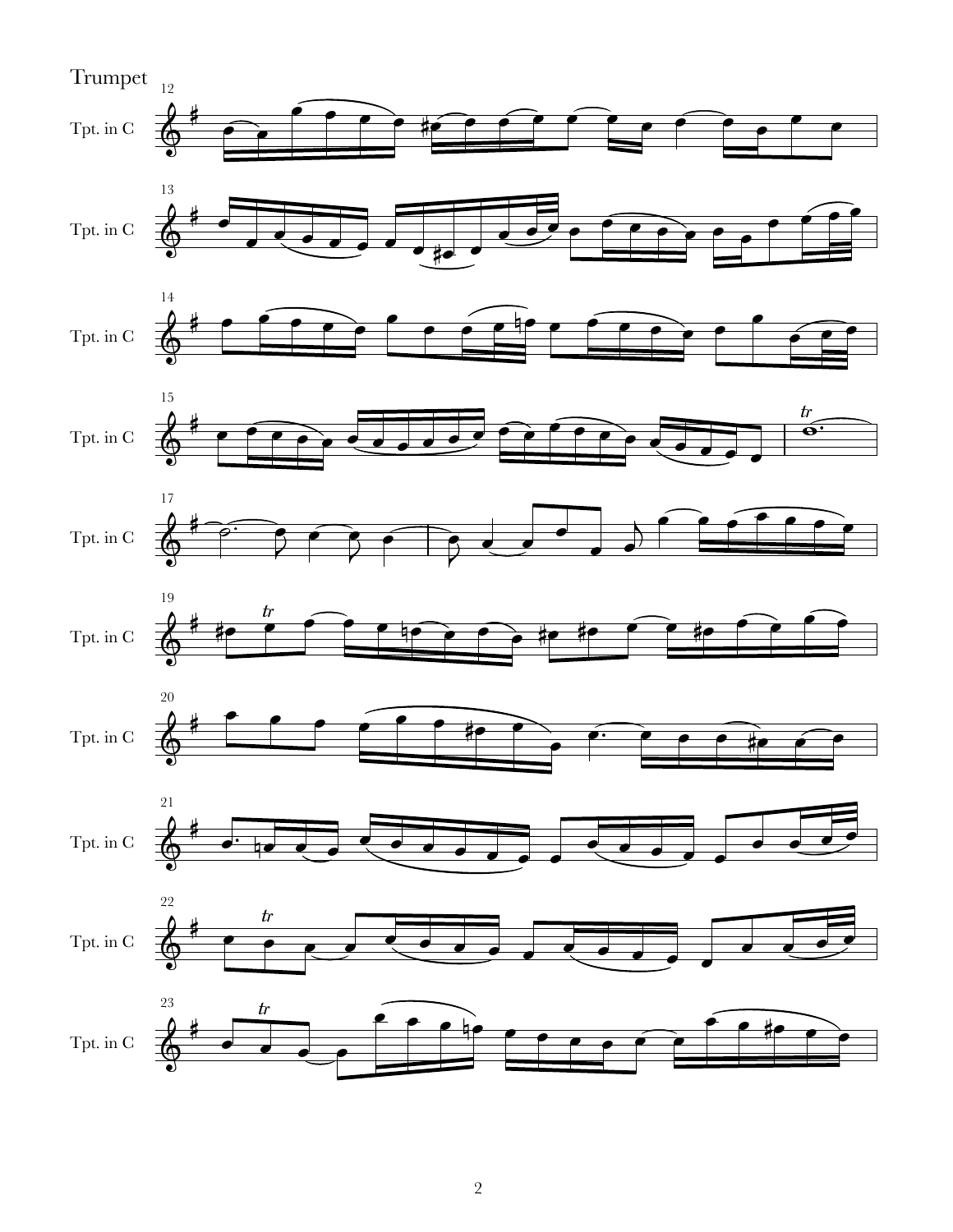

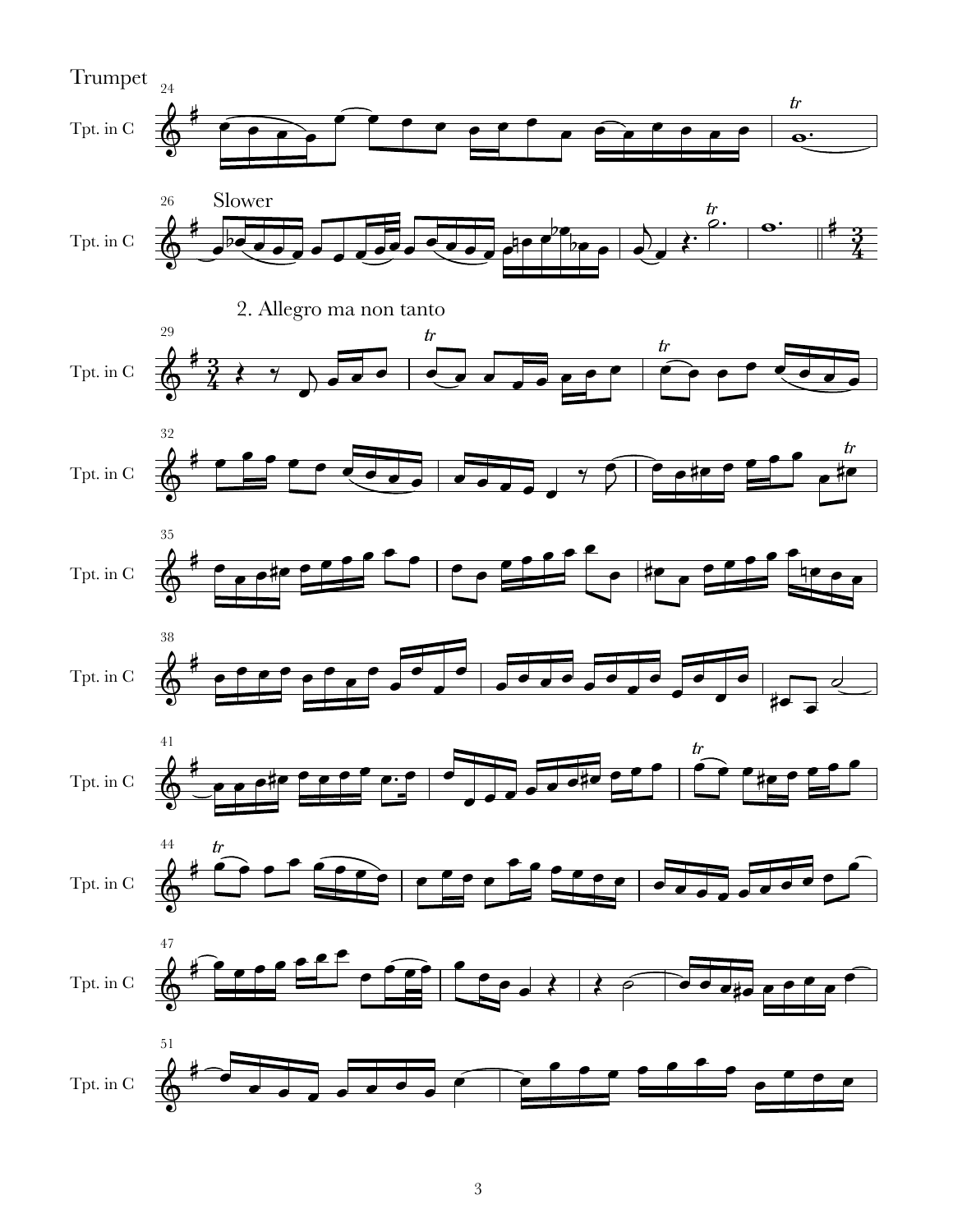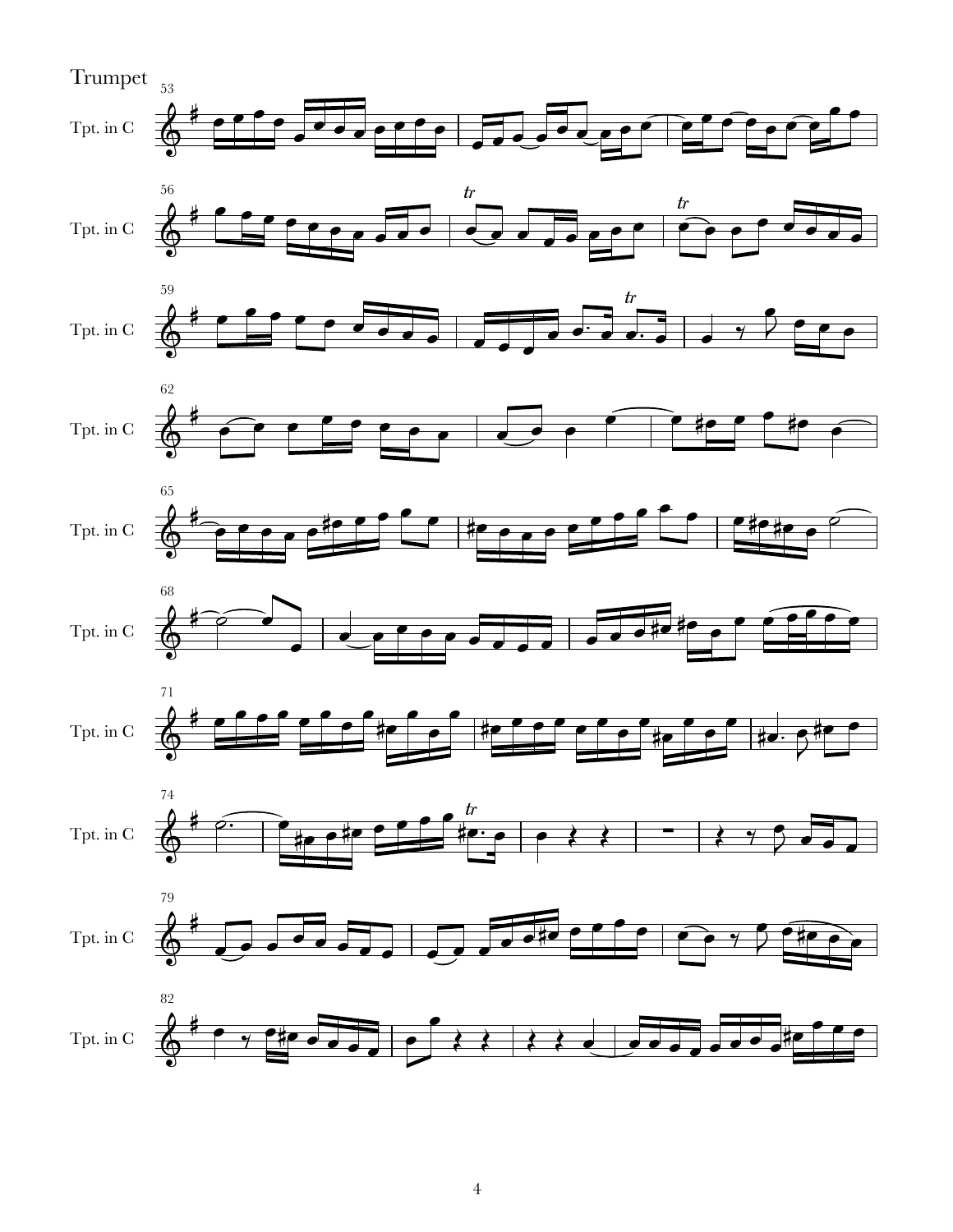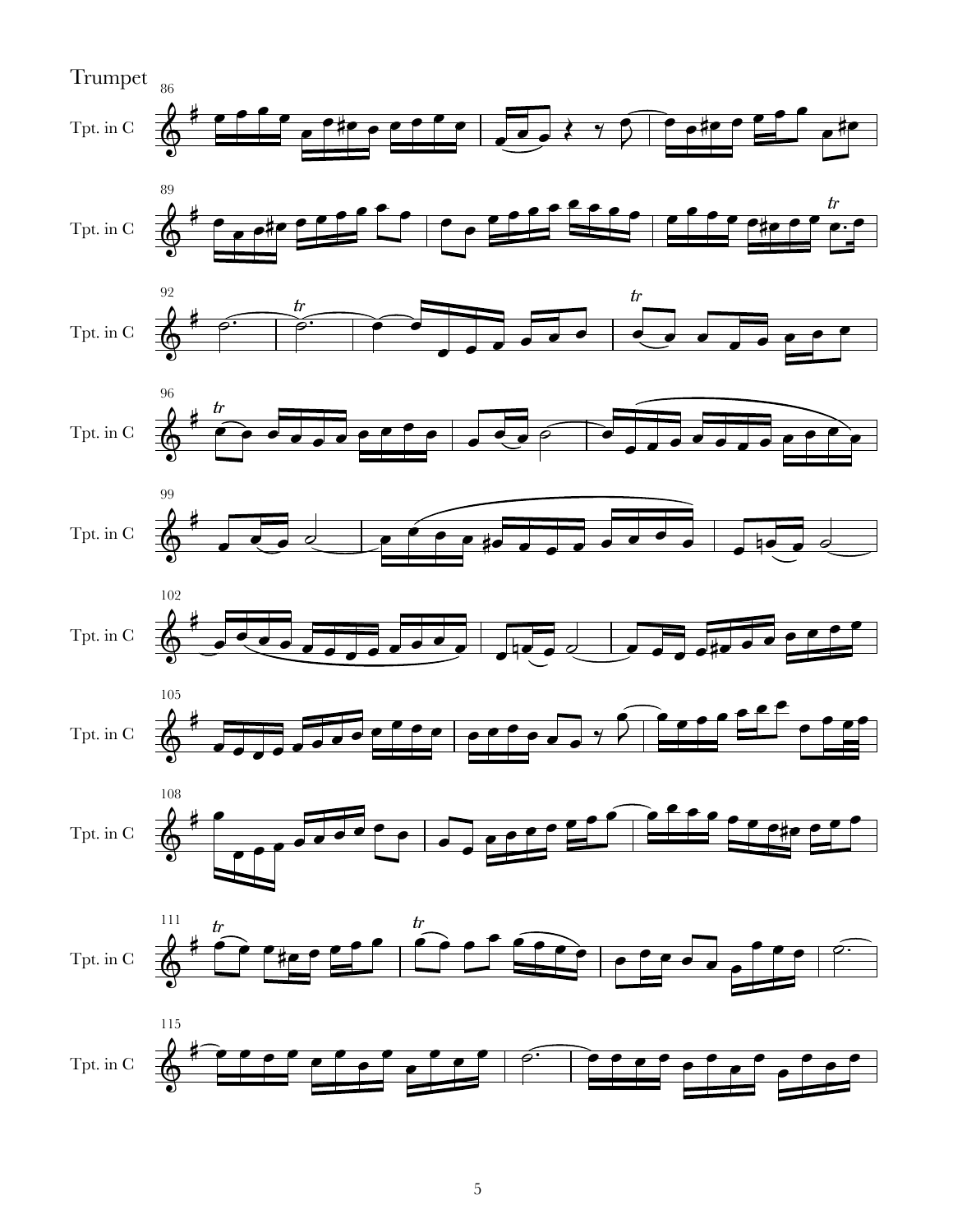Trumpet<sub>86</sub>

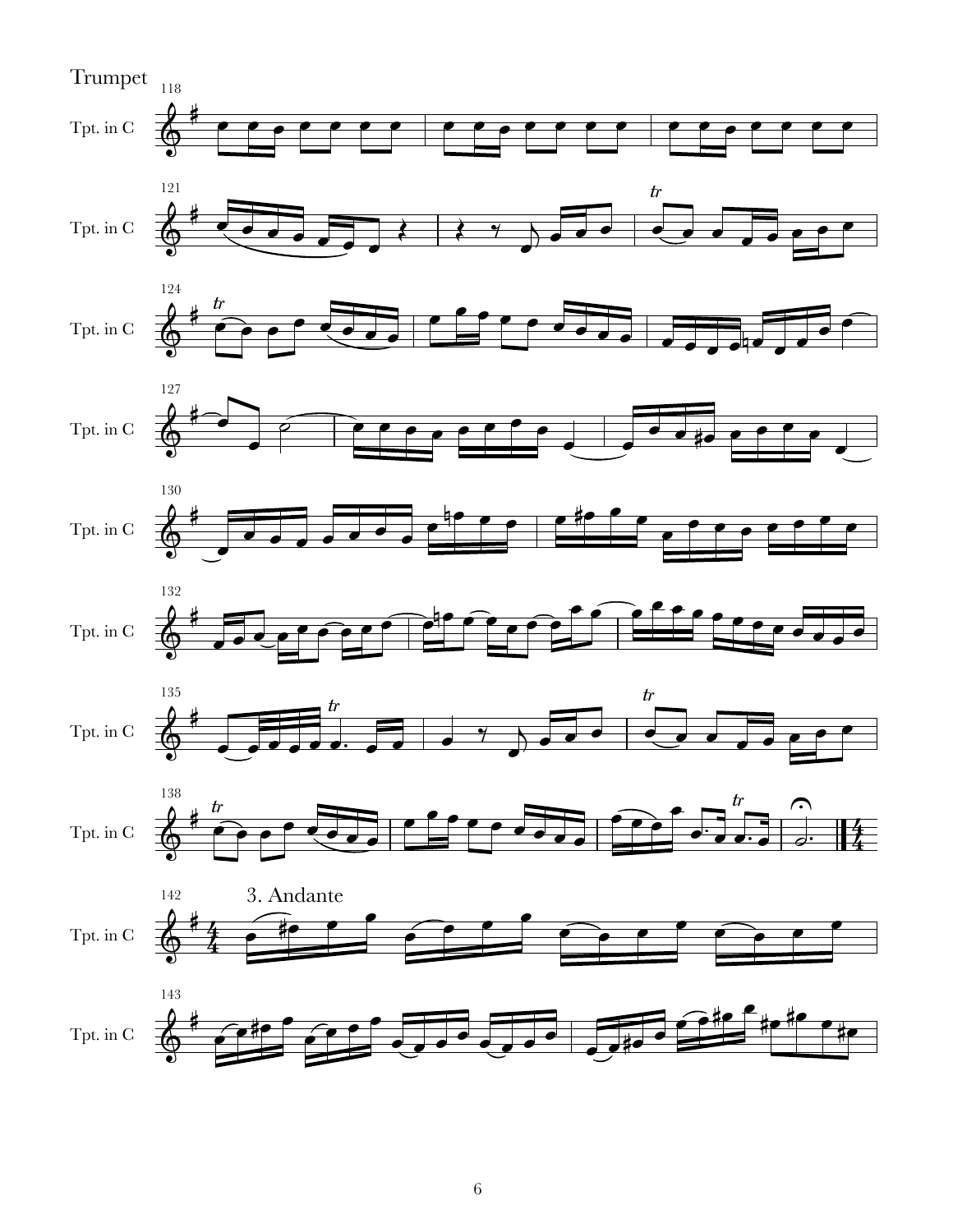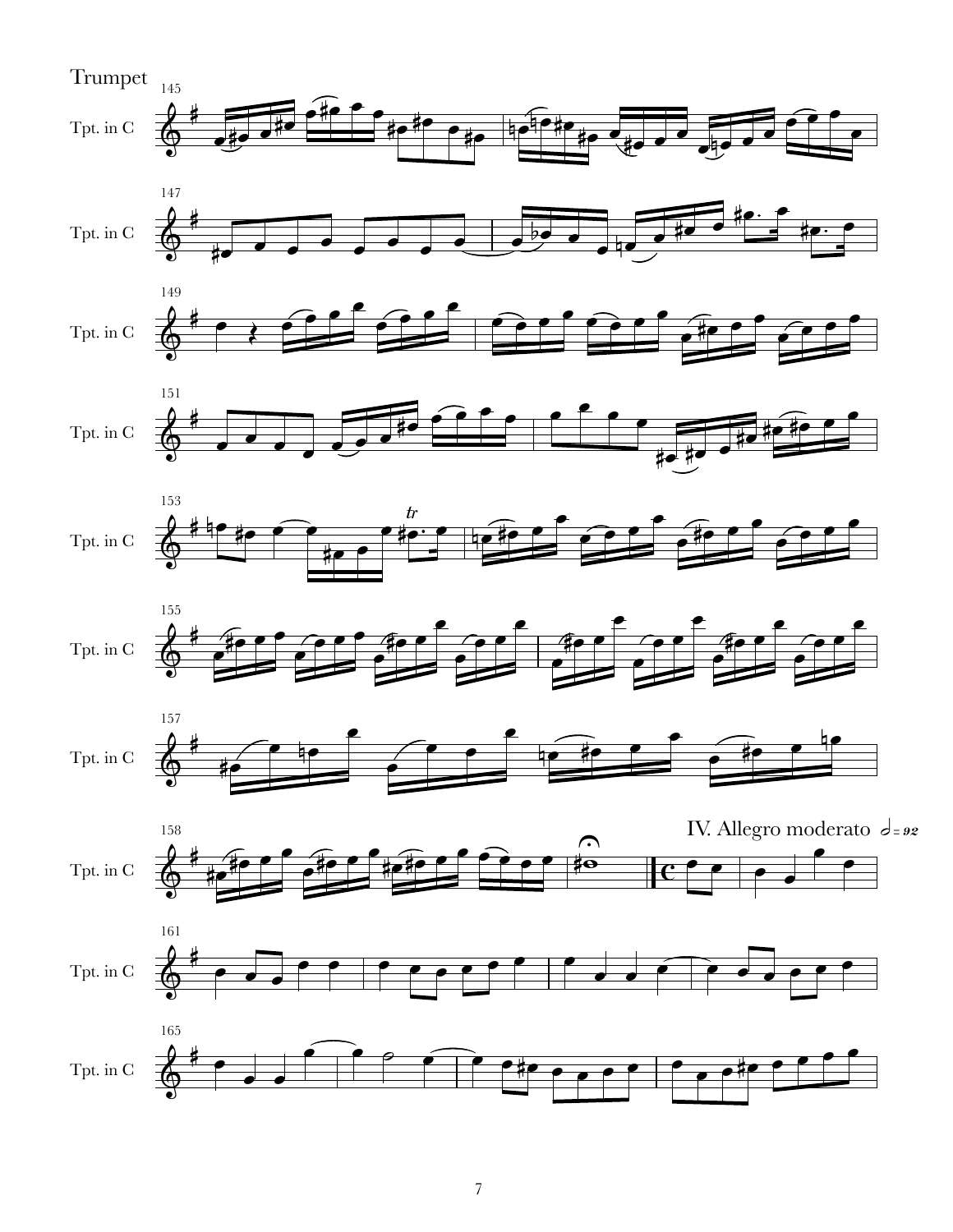

 $\overline{7}$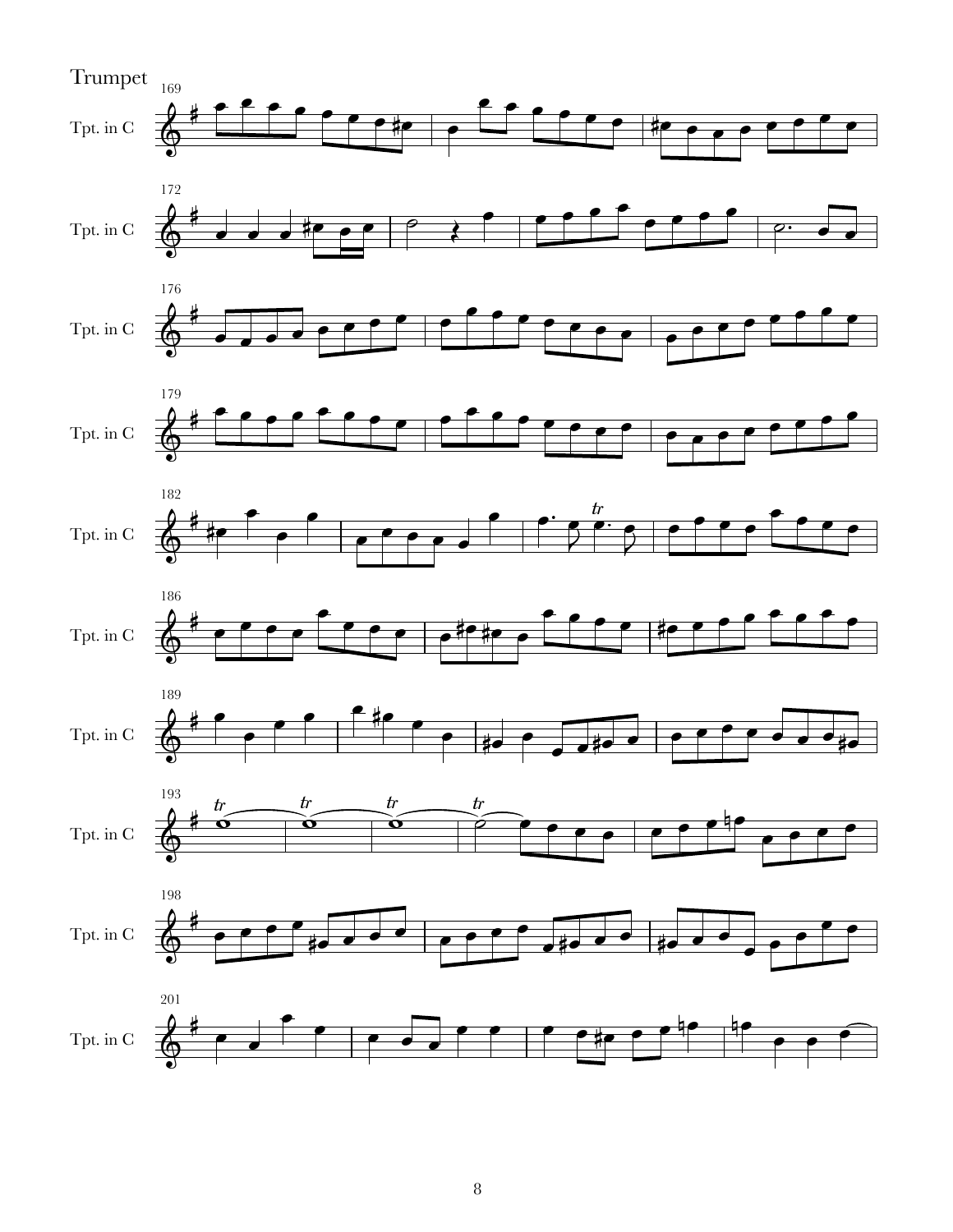















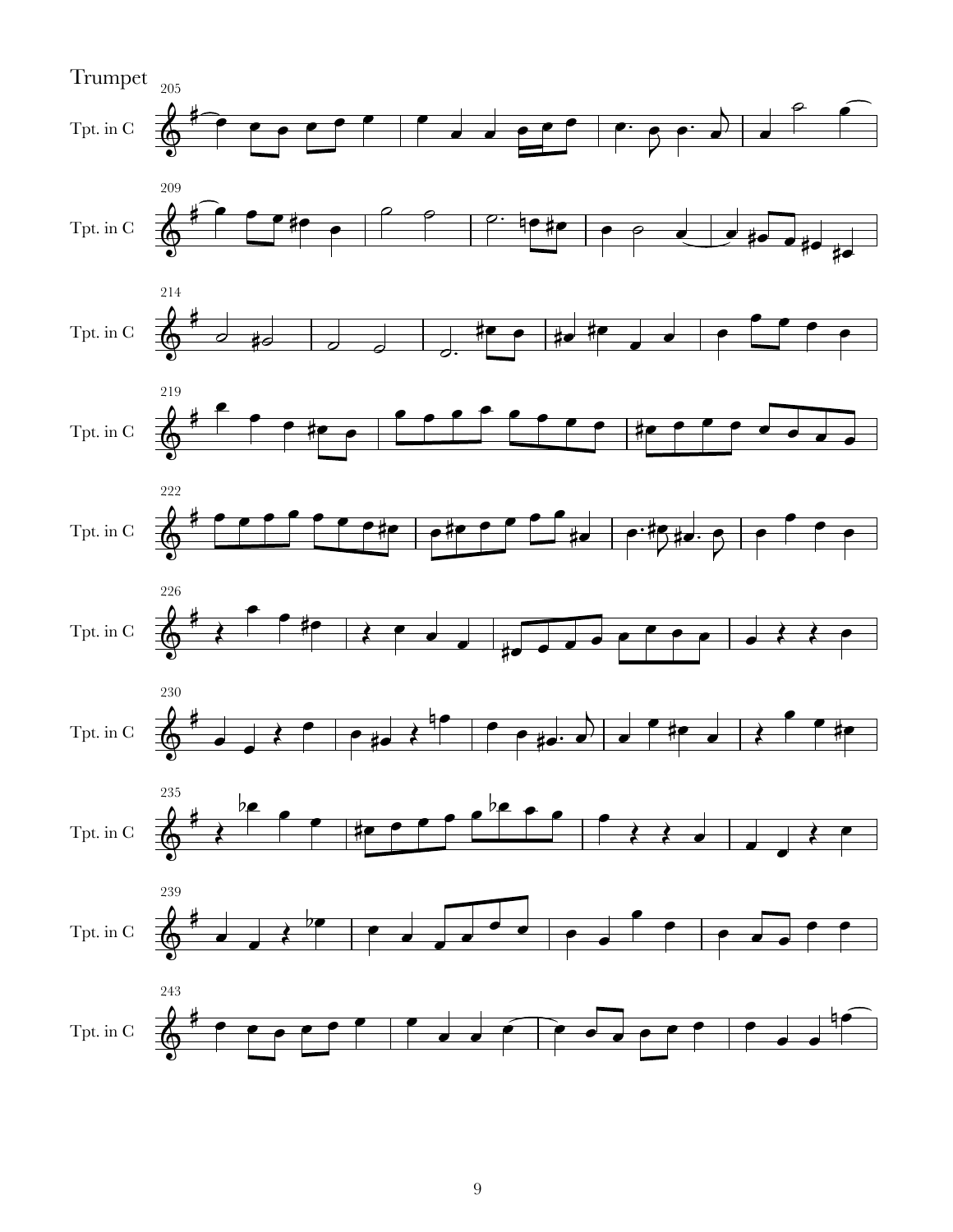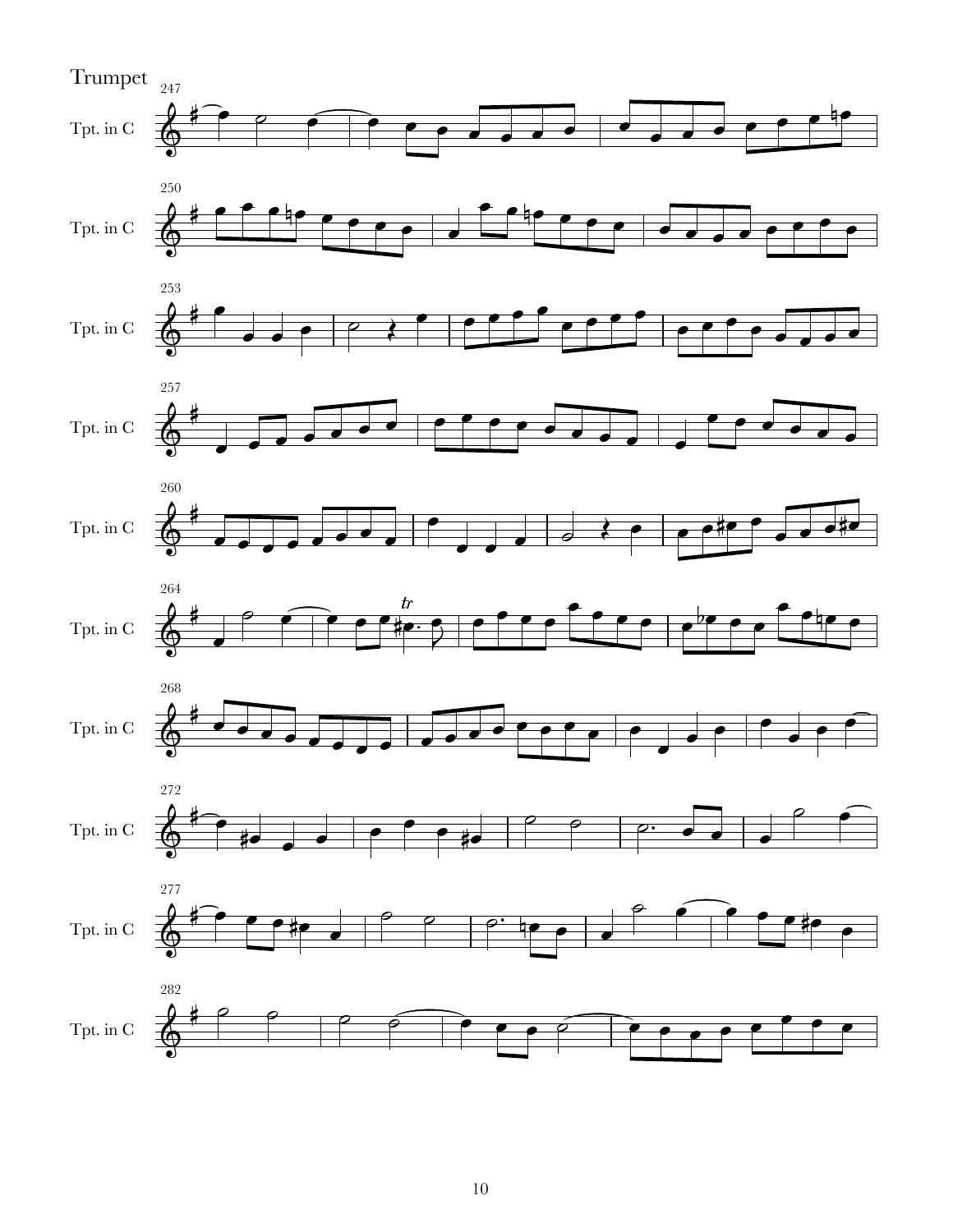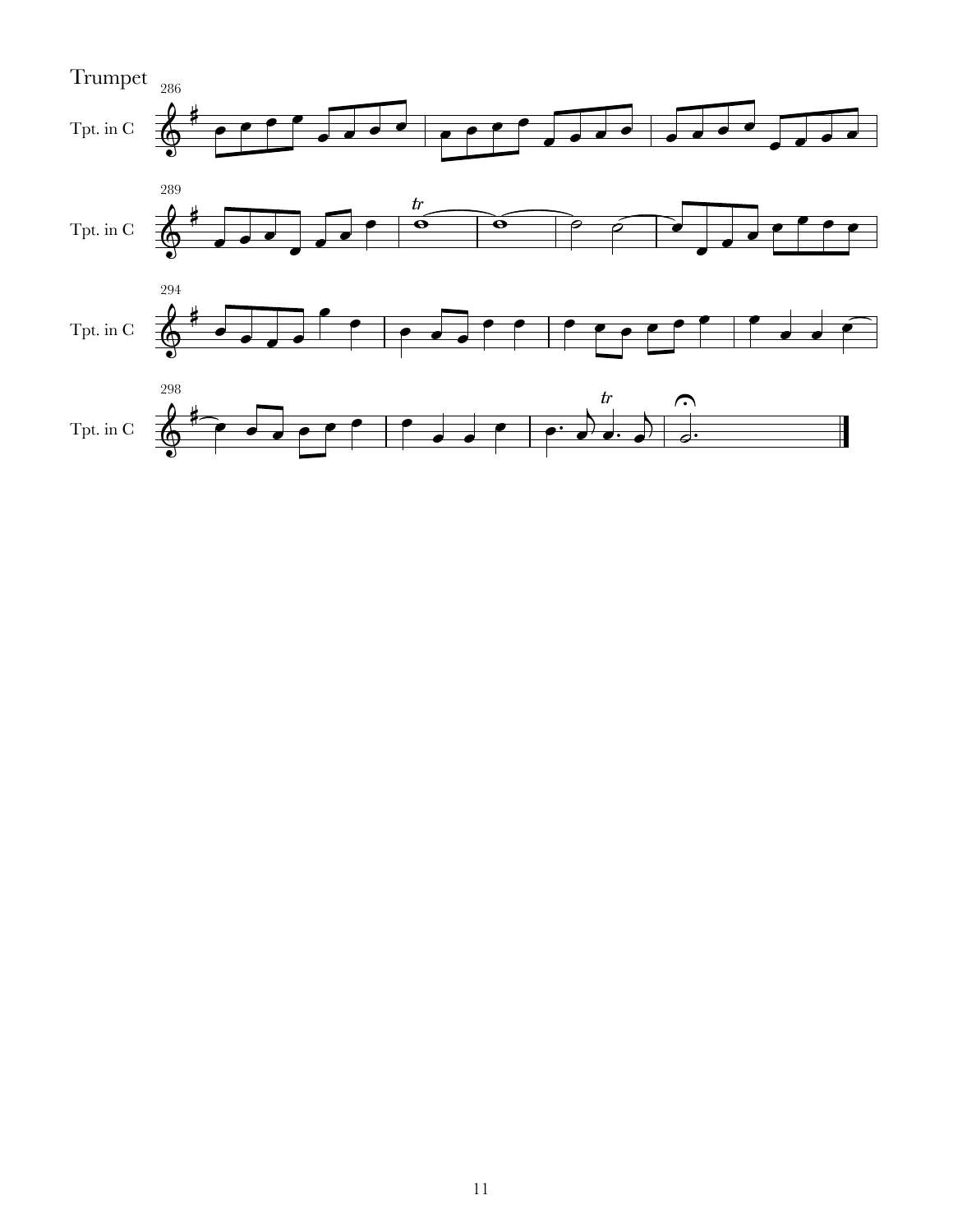Trumpet 286  $8 *$ **F ' ' '**  $\overline{\phantom{a}}\hspace{0.1cm}$   $\overline{\phantom{a}}\hspace{0.1cm}$   $\overline{\phantom{a}}\hspace{0.1cm}$   $\overline{\phantom{a}}\hspace{0.1cm}$   $\overline{\phantom{a}}\hspace{0.1cm}$   $\overline{\phantom{a}}\hspace{0.1cm}$   $\overline{\phantom{a}}\hspace{0.1cm}$   $\overline{\phantom{a}}\hspace{0.1cm}$   $\overline{\phantom{a}}\hspace{0.1cm}$   $\overline{\phantom{a}}\hspace{0.1cm}$   $\overline{\phantom{a}}\$ ' ' ' ' ' ' ' ' ' ' ' ' ' ' ' ' Tpt. in C 289  $\frac{tr}{\epsilon}$  $\left\langle \begin{array}{ccc} * & - & - \end{array} \right\rangle$ ' ' ' ' ' ' '  $\bullet$   $\bullet$   $\bullet$   $\bullet$   $\bullet$   $\bullet$ Tpt. in C 294  $\& \cdot \, .$ Tpt. in C  $\begin{array}{c} \overline{\leftarrow} \\[-1.2mm] \leftarrow \end{array}$   $\begin{array}{c} \bullet \\[-1.2mm] \bullet \end{array}$   $\begin{array}{c} \bullet \\[-1.2mm] \bullet \end{array}$   $\begin{array}{c} \bullet \\[-1.2mm] \bullet \end{array}$   $\begin{array}{c} \bullet \\[-1.2mm] \bullet \end{array}$   $\begin{array}{c} \bullet \\[-1.2mm] \bullet \end{array}$ 298  $\frac{dr}{1}$ . 5 .  $8 *$  $\frac{1}{1}$ ' ' ' ' ' ' ' ' ' ' ' '  $\frac{1}{2}$ Tpt. in C $\bullet\cdot\ \bullet$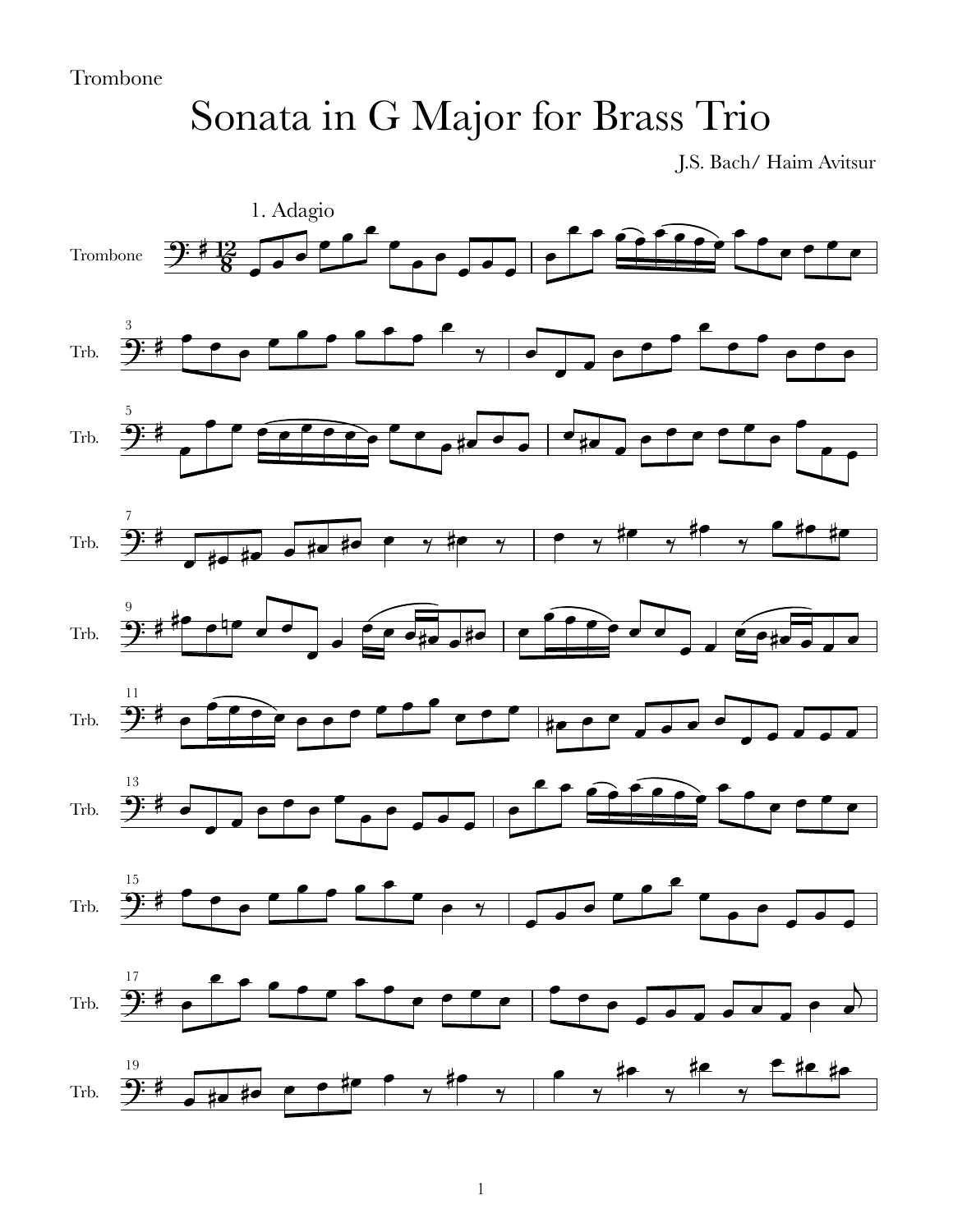#### Trombone

# Sonata in G Major for Brass Trio

J.S. Bach/ Haim Avitsur

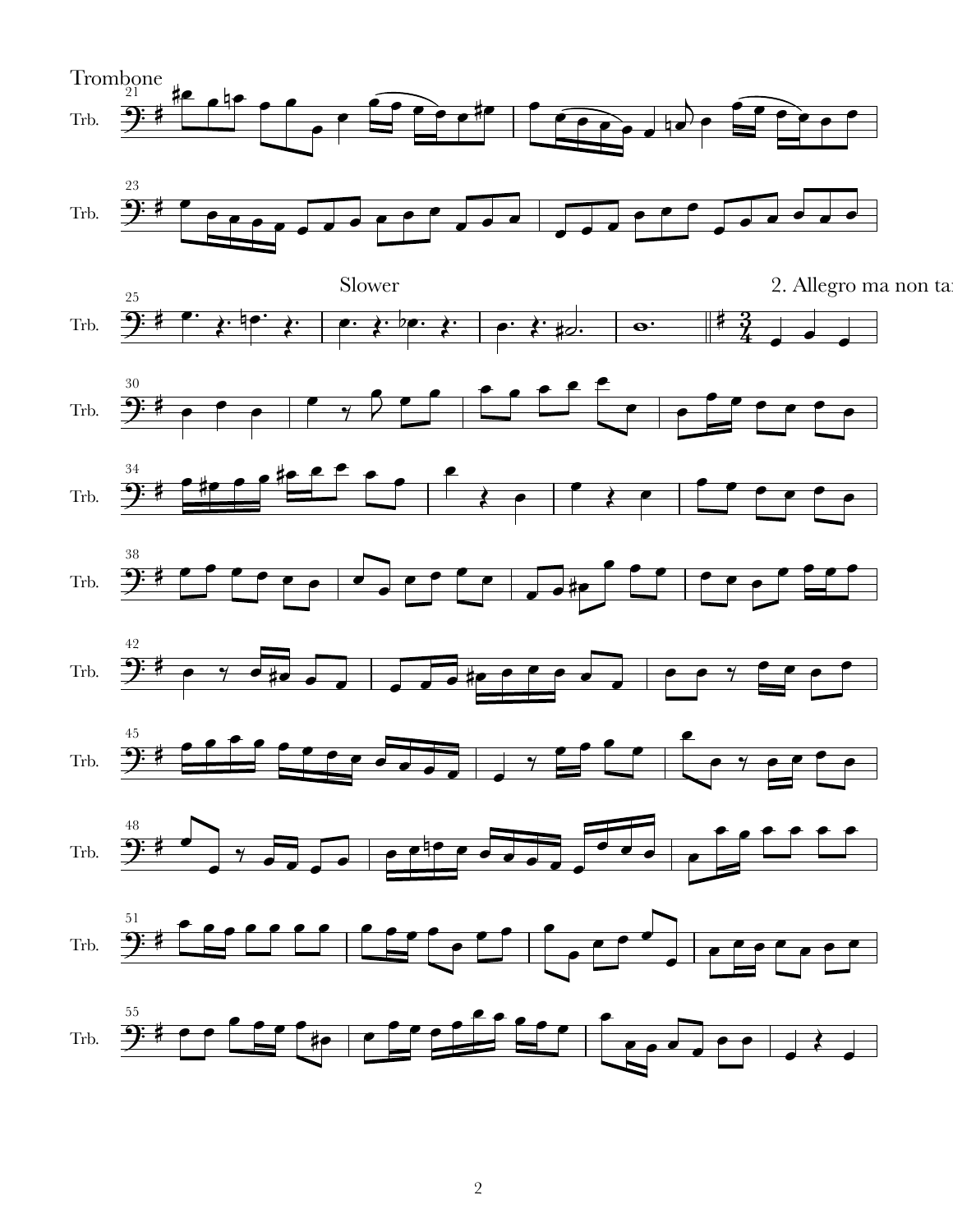



















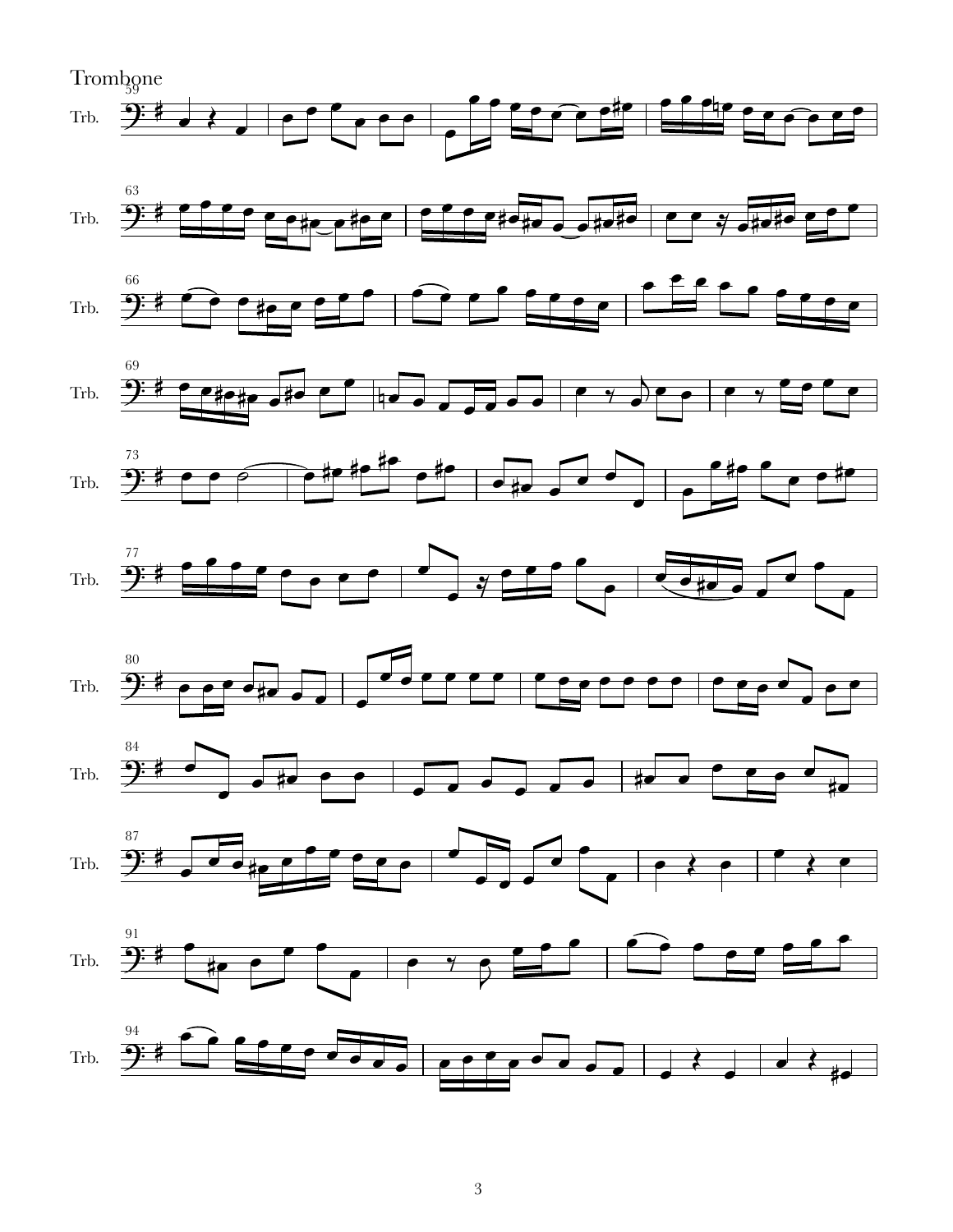Trombone





















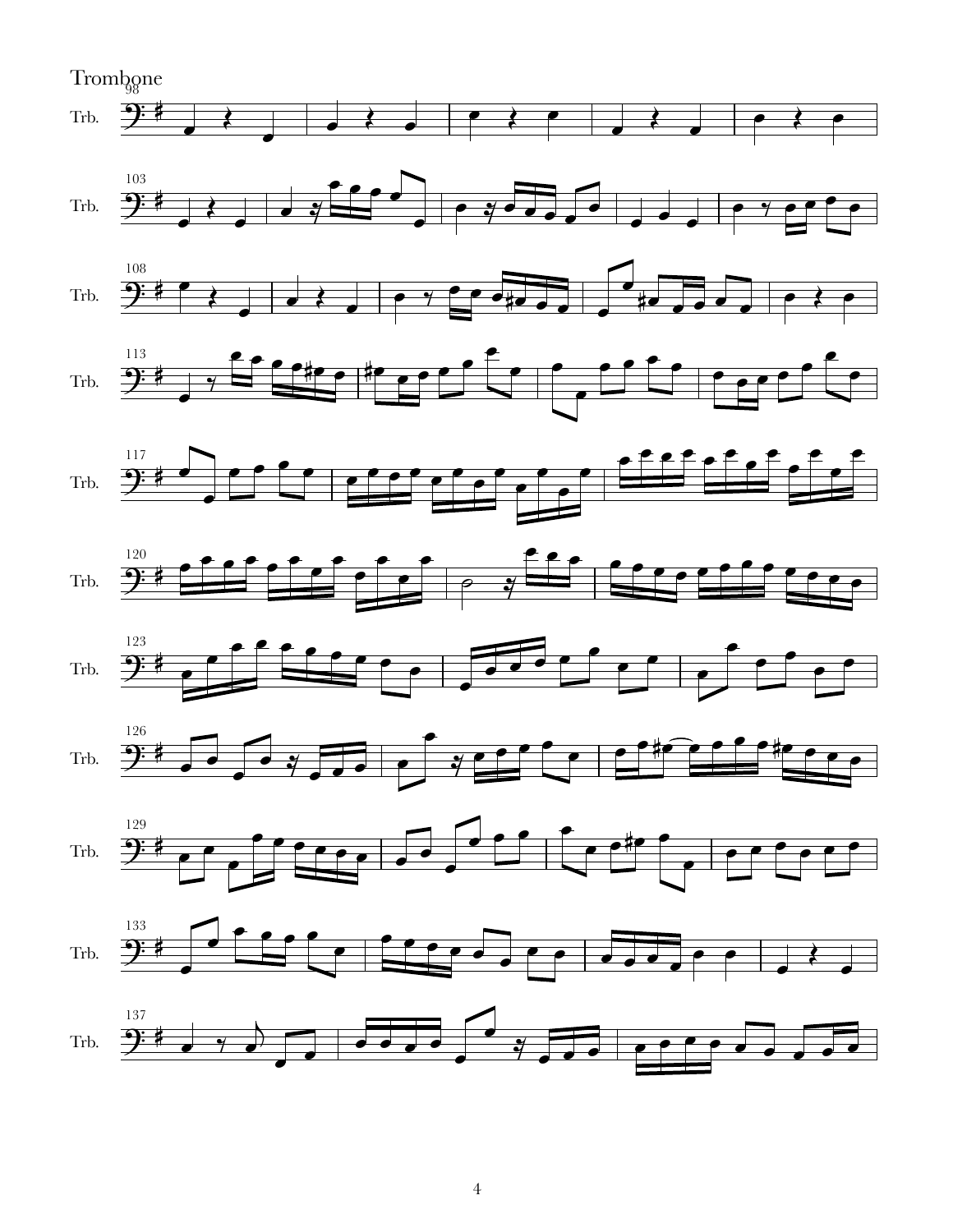Trombone





















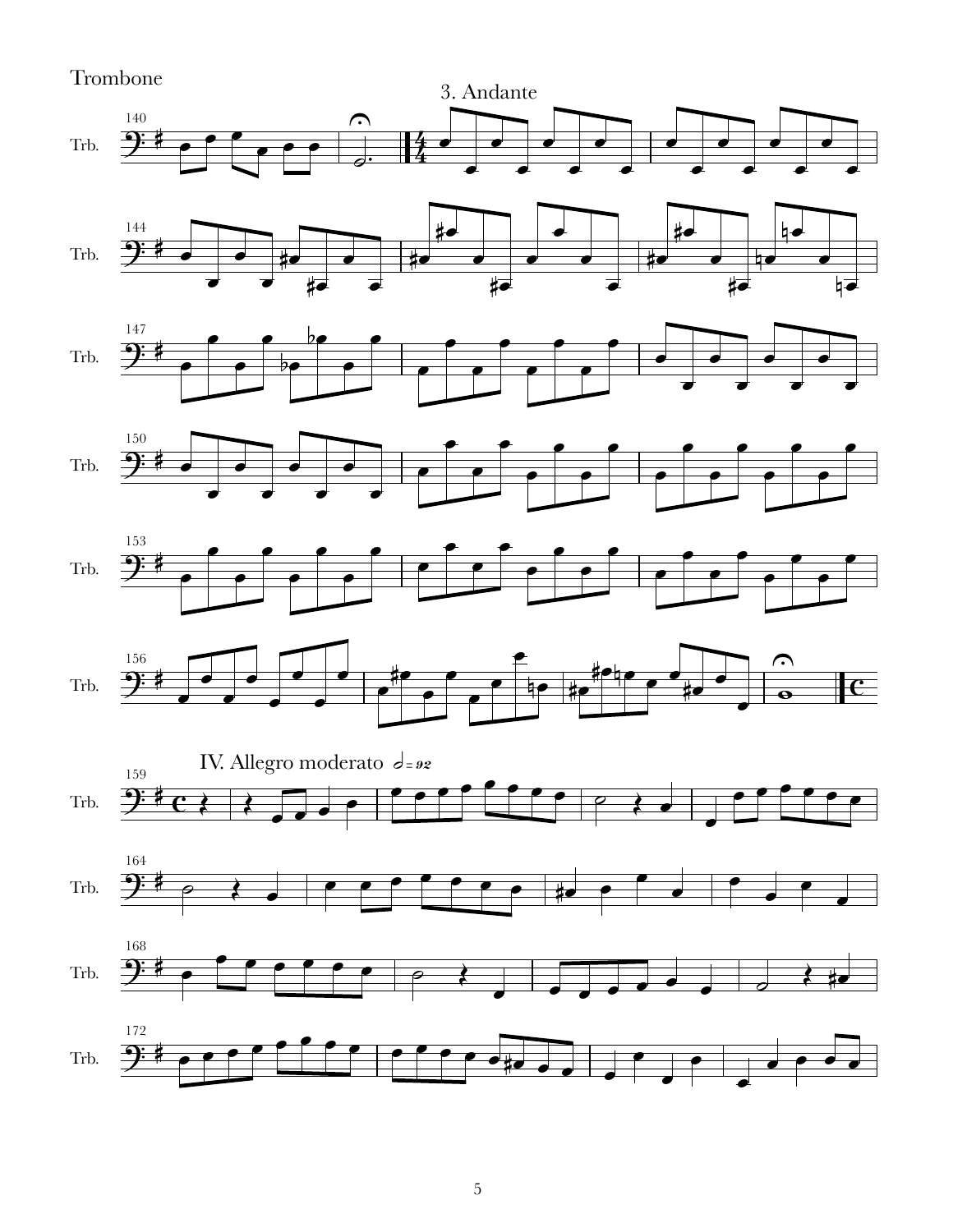Trombone

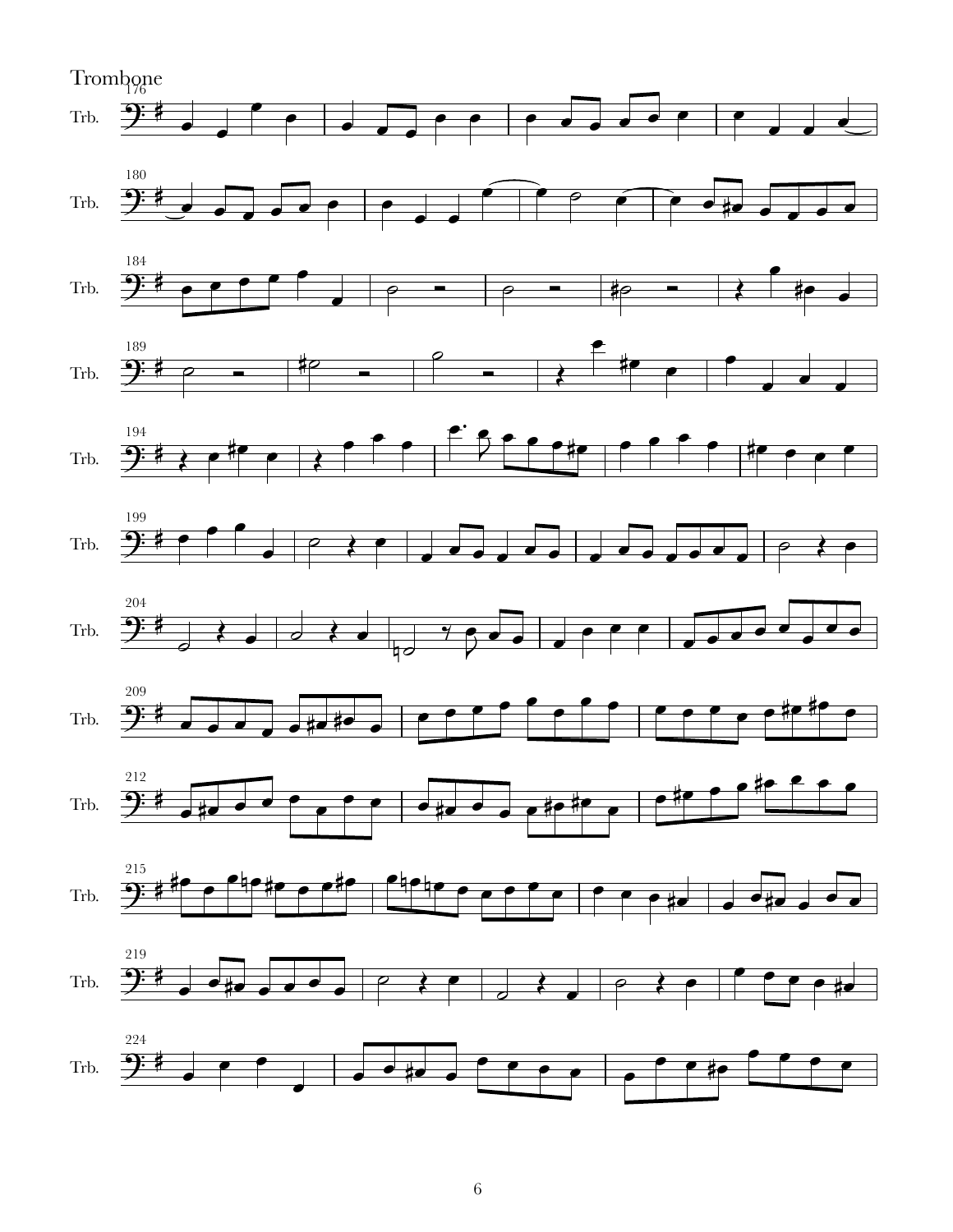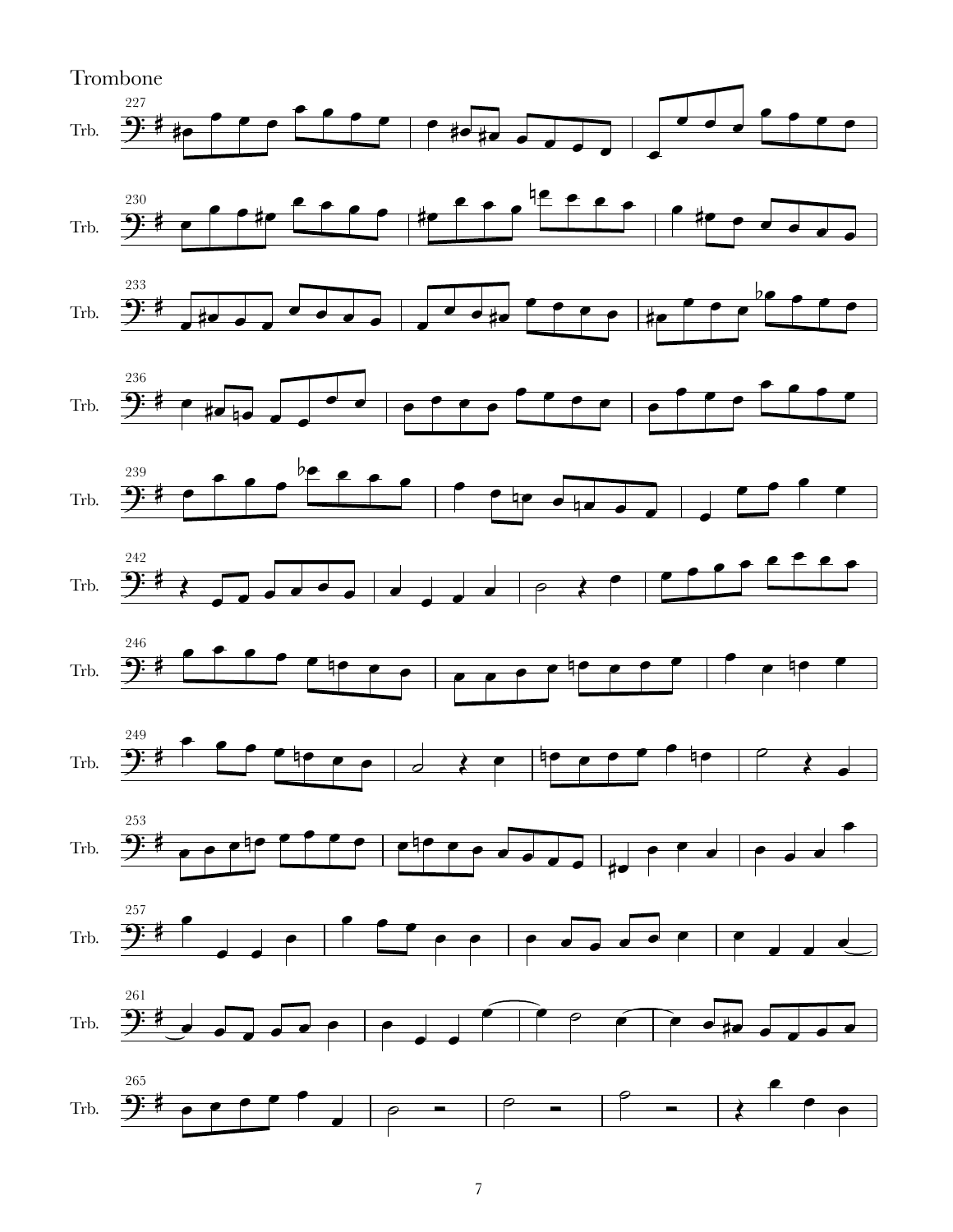